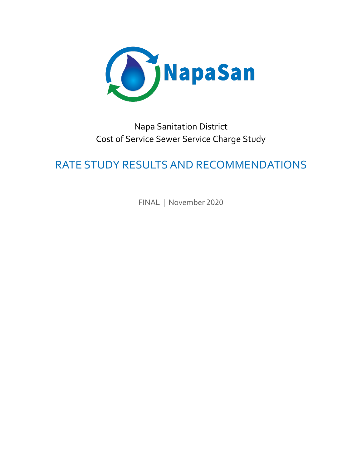

# Napa Sanitation District Cost of Service Sewer Service Charge Study

# RATE STUDY RESULTS AND RECOMMENDATIONS

FINAL | November 2020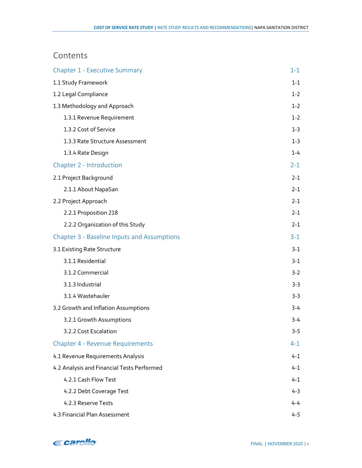# **Contents**

| Chapter 1 - Executive Summary               | $1 - 1$ |
|---------------------------------------------|---------|
| 1.1 Study Framework                         | $1-1$   |
| 1.2 Legal Compliance                        | $1 - 2$ |
| 1.3 Methodology and Approach                | $1 - 2$ |
| 1.3.1 Revenue Requirement                   | $1 - 2$ |
| 1.3.2 Cost of Service                       | $1-3$   |
| 1.3.3 Rate Structure Assessment             | $1 - 3$ |
| 1.3.4 Rate Design                           | $1 - 4$ |
| Chapter 2 - Introduction                    | $2 - 1$ |
| 2.1 Project Background                      | $2 - 1$ |
| 2.1.1 About NapaSan                         | $2-1$   |
| 2.2 Project Approach                        | $2 - 1$ |
| 2.2.1 Proposition 218                       | $2 - 1$ |
| 2.2.2 Organization of this Study            | $2-1$   |
| Chapter 3 - Baseline Inputs and Assumptions | $3-1$   |
| 3.1 Existing Rate Structure                 | $3-1$   |
| 3.1.1 Residential                           | $3-1$   |
| 3.1.2 Commercial                            | $3 - 2$ |
| 3.1.3 Industrial                            | $3-3$   |
| 3.1.4 Wastehauler                           | $3-3$   |
| 3.2 Growth and Inflation Assumptions        | $3 - 4$ |
| 3.2.1 Growth Assumptions                    | $3-4$   |
| 3.2.2 Cost Escalation                       | $3 - 5$ |
| <b>Chapter 4 - Revenue Requirements</b>     | $4 - 1$ |
| 4.1 Revenue Requirements Analysis           | $4 - 1$ |
| 4.2 Analysis and Financial Tests Performed  | $4 - 1$ |
| 4.2.1 Cash Flow Test                        | $4 - 1$ |
| 4.2.2 Debt Coverage Test                    | $4 - 3$ |
| 4.2.3 Reserve Tests                         | 4-4     |
| 4.3 Financial Plan Assessment               | $4 - 5$ |

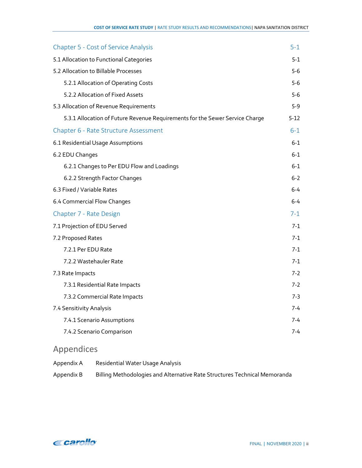| <b>Chapter 5 - Cost of Service Analysis</b>                                  | $5-1$   |
|------------------------------------------------------------------------------|---------|
| 5.1 Allocation to Functional Categories                                      | $5 - 1$ |
| 5.2 Allocation to Billable Processes                                         | $5-6$   |
| 5.2.1 Allocation of Operating Costs                                          | $5-6$   |
| 5.2.2 Allocation of Fixed Assets                                             | $5-6$   |
| 5.3 Allocation of Revenue Requirements                                       | $5-9$   |
| 5.3.1 Allocation of Future Revenue Requirements for the Sewer Service Charge | $5-12$  |
| Chapter 6 - Rate Structure Assessment                                        | $6 - 1$ |
| 6.1 Residential Usage Assumptions                                            | $6-1$   |
| 6.2 EDU Changes                                                              | $6-1$   |
| 6.2.1 Changes to Per EDU Flow and Loadings                                   | $6-1$   |
| 6.2.2 Strength Factor Changes                                                | $6 - 2$ |
| 6.3 Fixed / Variable Rates                                                   | $6 - 4$ |
| 6.4 Commercial Flow Changes                                                  | $6 - 4$ |
| Chapter 7 - Rate Design                                                      | 7-1     |
| 7.1 Projection of EDU Served                                                 | $7-1$   |
| 7.2 Proposed Rates                                                           | 7-1     |
| 7.2.1 Per EDU Rate                                                           | 7-1     |
| 7.2.2 Wastehauler Rate                                                       | 7-1     |
| 7.3 Rate Impacts                                                             | $7 - 2$ |
| 7.3.1 Residential Rate Impacts                                               | $7 - 2$ |
| 7.3.2 Commercial Rate Impacts                                                | $7-3$   |
| 7.4 Sensitivity Analysis                                                     | $7 - 4$ |
| 7.4.1 Scenario Assumptions                                                   | 7-4     |
| 7.4.2 Scenario Comparison                                                    | 7-4     |

# Appendices

| Appendix A | Residential Water Usage Analysis                                          |
|------------|---------------------------------------------------------------------------|
| Appendix B | Billing Methodologies and Alternative Rate Structures Technical Memoranda |

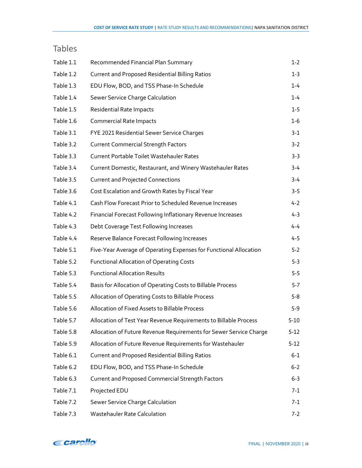# Tables

| Table 1.1 | Recommended Financial Plan Summary                                 | $1-2$    |
|-----------|--------------------------------------------------------------------|----------|
| Table 1.2 | <b>Current and Proposed Residential Billing Ratios</b>             | $1 - 3$  |
| Table 1.3 | EDU Flow, BOD, and TSS Phase-In Schedule                           | $1 - 4$  |
| Table 1.4 | Sewer Service Charge Calculation                                   | $1 - 4$  |
| Table 1.5 | <b>Residential Rate Impacts</b>                                    | $1 - 5$  |
| Table 1.6 | <b>Commercial Rate Impacts</b>                                     | $1-6$    |
| Table 3.1 | FYE 2021 Residential Sewer Service Charges                         | $3-1$    |
| Table 3.2 | <b>Current Commercial Strength Factors</b>                         | $3 - 2$  |
| Table 3.3 | <b>Current Portable Toilet Wastehauler Rates</b>                   | $3 - 3$  |
| Table 3.4 | Current Domestic, Restaurant, and Winery Wastehauler Rates         | $3-4$    |
| Table 3.5 | <b>Current and Projected Connections</b>                           | $3-4$    |
| Table 3.6 | Cost Escalation and Growth Rates by Fiscal Year                    | $3 - 5$  |
| Table 4.1 | Cash Flow Forecast Prior to Scheduled Revenue Increases            | $4 - 2$  |
| Table 4.2 | Financial Forecast Following Inflationary Revenue Increases        | 4-3      |
| Table 4.3 | Debt Coverage Test Following Increases                             | 4-4      |
| Table 4.4 | Reserve Balance Forecast Following Increases                       | $4 - 5$  |
| Table 5.1 | Five-Year Average of Operating Expenses for Functional Allocation  | $5 - 2$  |
| Table 5.2 | <b>Functional Allocation of Operating Costs</b>                    | $5 - 3$  |
| Table 5.3 | <b>Functional Allocation Results</b>                               | $5-5$    |
| Table 5.4 | Basis for Allocation of Operating Costs to Billable Process        | $5-7$    |
| Table 5.5 | Allocation of Operating Costs to Billable Process                  | $5 - 8$  |
| Table 5.6 | Allocation of Fixed Assets to Billable Process                     | $5 - 9$  |
| Table 5.7 | Allocation of Test Year Revenue Requirements to Billable Process   | $5 - 10$ |
| Table 5.8 | Allocation of Future Revenue Requirements for Sewer Service Charge | $5-12$   |
| Table 5.9 | Allocation of Future Revenue Requirements for Wastehauler          | $5 - 12$ |
| Table 6.1 | <b>Current and Proposed Residential Billing Ratios</b>             | $6 - 1$  |
| Table 6.2 | EDU Flow, BOD, and TSS Phase-In Schedule                           | $6 - 2$  |
| Table 6.3 | <b>Current and Proposed Commercial Strength Factors</b>            | $6 - 3$  |
| Table 7.1 | Projected EDU                                                      | $7-1$    |
| Table 7.2 | Sewer Service Charge Calculation                                   | $7-1$    |
| Table 7.3 | Wastehauler Rate Calculation                                       | $7-2$    |

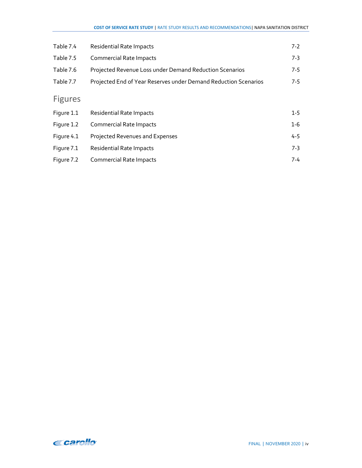| Table 7.4      | <b>Residential Rate Impacts</b>                                 | $7-2$   |
|----------------|-----------------------------------------------------------------|---------|
| Table 7.5      | <b>Commercial Rate Impacts</b>                                  | $7-3$   |
| Table 7.6      | Projected Revenue Loss under Demand Reduction Scenarios         | $7 - 5$ |
| Table 7.7      | Projected End of Year Reserves under Demand Reduction Scenarios | $7-5$   |
| <b>Figures</b> |                                                                 |         |
| Figure 1.1     | <b>Residential Rate Impacts</b>                                 | $1 - 5$ |
| Figure 1.2     | <b>Commercial Rate Impacts</b>                                  | $1-6$   |
| Figure 4.1     | Projected Revenues and Expenses                                 | 4-5     |
| Figure 7.1     | <b>Residential Rate Impacts</b>                                 | $7-3$   |
| Figure 7.2     | <b>Commercial Rate Impacts</b>                                  | 7-4     |

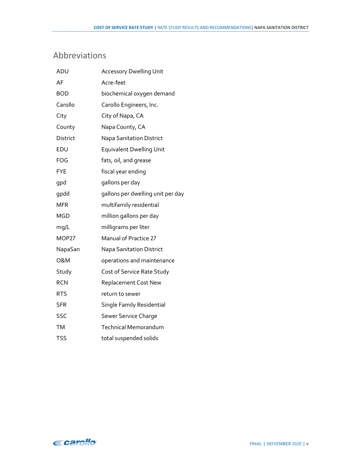# Abbreviations

| ADU            | <b>Accessory Dwelling Unit</b>    |
|----------------|-----------------------------------|
| AF             | Acre-feet                         |
| <b>BOD</b>     | biochemical oxygen demand         |
| Carollo        | Carollo Engineers, Inc.           |
| City           | City of Napa, CA                  |
| County         | Napa County, CA                   |
| District       | <b>Napa Sanitation District</b>   |
| EDU            | <b>Equivalent Dwelling Unit</b>   |
| <b>FOG</b>     | fats, oil, and grease             |
| <b>FYE</b>     | fiscal year ending                |
| gpd            | gallons per day                   |
| qpdd           | gallons per dwelling unit per day |
| MFR            | multifamily residential           |
| <b>MGD</b>     | million gallons per day           |
| mg/L           | milligrams per liter              |
| MOP27          | <b>Manual of Practice 27</b>      |
| NapaSan        | <b>Napa Sanitation District</b>   |
| <b>O&amp;M</b> | operations and maintenance        |
| Study          | Cost of Service Rate Study        |
| <b>RCN</b>     | <b>Replacement Cost New</b>       |
| <b>RTS</b>     | return to sewer                   |
| <b>SFR</b>     | <b>Single Family Residential</b>  |
| SSC            | Sewer Service Charge              |
| <b>TM</b>      | Technical Memorandum              |
| <b>TSS</b>     | total suspended solids            |

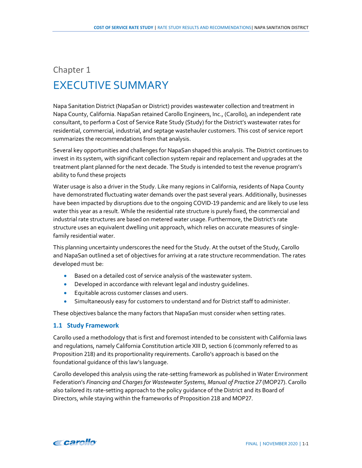# <span id="page-6-1"></span><span id="page-6-0"></span>Chapter 1 EXECUTIVE SUMMARY

Napa Sanitation District (NapaSan or District) provides wastewater collection and treatment in Napa County, California. NapaSan retained Carollo Engineers, Inc., (Carollo), an independent rate consultant, to perform a Cost of Service Rate Study (Study) for the District's wastewater rates for residential, commercial, industrial, and septage wastehauler customers. This cost of service report summarizes the recommendations from that analysis.

Several key opportunities and challenges for NapaSan shaped this analysis. The District continues to invest in its system, with significant collection system repair and replacement and upgrades at the treatment plant planned for the next decade. The Study is intended to test the revenue program's ability to fund these projects

Water usage is also a driver in the Study. Like many regions in California, residents of Napa County have demonstrated fluctuating water demands over the past several years. Additionally, businesses have been impacted by disruptions due to the ongoing COVID-19 pandemic and are likely to use less water this year as a result. While the residential rate structure is purely fixed, the commercial and industrial rate structures are based on metered water usage. Furthermore, the District's rate structure uses an equivalent dwelling unit approach, which relies on accurate measures of singlefamily residential water.

This planning uncertainty underscores the need for the Study. At the outset of the Study, Carollo and NapaSan outlined a set of objectives for arriving at a rate structure recommendation. The rates developed must be:

- Based on a detailed cost of service analysis of the wastewater system.
- Developed in accordance with relevant legal and industry guidelines.
- Equitable across customer classes and users.
- Simultaneously easy for customers to understand and for District staff to administer.

These objectives balance the many factors that NapaSan must consider when setting rates.

#### <span id="page-6-2"></span>**1.1 Study Framework**

Carollo used a methodology that is first and foremost intended to be consistent with California laws and regulations, namely California Constitution article XIII D, section 6 (commonly referred to as Proposition 218) and its proportionality requirements. Carollo's approach is based on the foundational guidance of this law's language.

Carollo developed this analysis using the rate-setting framework as published in Water Environment Federation's *Financing and Charges for Wastewater Systems, Manual of Practice 27* (MOP27). Carollo also tailored its rate-setting approach to the policy guidance of the District and its Board of Directors, while staying within the frameworks of Proposition 218 and MOP27.

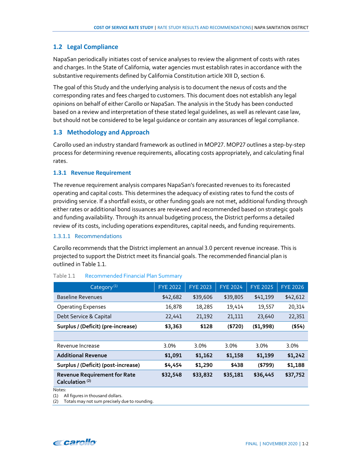# <span id="page-7-0"></span>**1.2 Legal Compliance**

NapaSan periodically initiates cost of service analyses to review the alignment of costs with rates and charges. In the State of California, water agencies must establish rates in accordance with the substantive requirements defined by California Constitution article XIII D, section 6.

The goal of this Study and the underlying analysis is to document the nexus of costs and the corresponding rates and fees charged to customers. This document does not establish any legal opinions on behalf of either Carollo or NapaSan. The analysis in the Study has been conducted based on a review and interpretation of these stated legal guidelines, as well as relevant case law, but should not be considered to be legal guidance or contain any assurances of legal compliance.

# <span id="page-7-1"></span>**1.3 Methodology and Approach**

Carollo used an industry standard framework as outlined in MOP27. MOP27 outlines a step-by-step process for determining revenue requirements, allocating costs appropriately, and calculating final rates.

#### <span id="page-7-2"></span>**1.3.1 Revenue Requirement**

The revenue requirement analysis compares NapaSan's forecasted revenues to its forecasted operating and capital costs. This determines the adequacy of existing rates to fund the costs of providing service. If a shortfall exists, or other funding goals are not met, additional funding through either rates or additional bond issuances are reviewed and recommended based on strategic goals and funding availability. Through its annual budgeting process, the District performs a detailed review of its costs, including operations expenditures, capital needs, and funding requirements.

#### 1.3.1.1 Recommendations

Carollo recommends that the District implement an annual 3.0 percent revenue increase. This is projected to support the District meet its financial goals. The recommended financial plan is outlined in Table 1.1.

| Category <sup>(1)</sup>                                           | <b>FYE 2022</b> | <b>FYE 2023</b> | <b>FYE 2024</b> | <b>FYE 2025</b> | <b>FYE 2026</b> |
|-------------------------------------------------------------------|-----------------|-----------------|-----------------|-----------------|-----------------|
| <b>Baseline Revenues</b>                                          | \$42,682        | \$39,606        | \$39,805        | \$41,199        | \$42,612        |
| <b>Operating Expenses</b>                                         | 16,878          | 18,285          | 19,414          | 19,557          | 20,314          |
| Debt Service & Capital                                            | 22,441          | 21,192          | 21,111          | 23,640          | 22,351          |
| Surplus / (Deficit) (pre-increase)                                | \$3,363         | \$128           | (\$720)         | (\$1,998)       | ( \$54)         |
|                                                                   |                 |                 |                 |                 |                 |
| Revenue Increase                                                  | 3.0%            | 3.0%            | 3.0%            | 3.0%            | 3.0%            |
| <b>Additional Revenue</b>                                         | \$1,091         | \$1,162         | \$1,158         | \$1,199         | \$1,242         |
| Surplus / (Deficit) (post-increase)                               | \$4,454         | \$1,290         | \$438           | ( \$799)        | \$1,188         |
| <b>Revenue Requirement for Rate</b><br>Calculation <sup>(2)</sup> | \$32,548        | \$33,832        | \$35,181        | \$36,445        | \$37,752        |

#### <span id="page-7-3"></span>Table 1.1 Recommended Financial Plan Summary

Notes:

(1) All figures in thousand dollars.

(2) Totals may not sum precisely due to rounding.

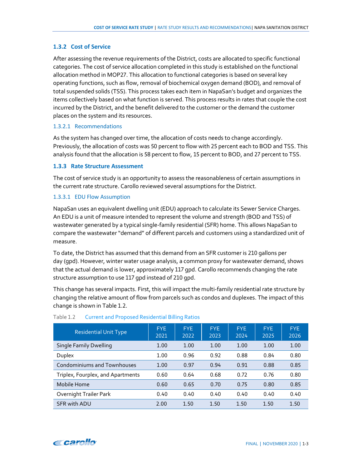# <span id="page-8-0"></span>**1.3.2 Cost of Service**

After assessing the revenue requirements of the District, costs are allocated to specific functional categories. The cost of service allocation completed in this study is established on the functional allocation method in MOP27. This allocation to functional categories is based on several key operating functions, such as flow, removal of biochemical oxygen demand (BOD), and removal of total suspended solids (TSS). This process takes each item in NapaSan's budget and organizes the items collectively based on what function is served. This process results in rates that couple the cost incurred by the District, and the benefit delivered to the customer or the demand the customer places on the system and its resources.

#### 1.3.2.1 Recommendations

As the system has changed over time, the allocation of costs needs to change accordingly. Previously, the allocation of costs was 50 percent to flow with 25 percent each to BOD and TSS. This analysis found that the allocation is 58 percent to flow, 15 percent to BOD, and 27 percent to TSS.

## <span id="page-8-1"></span>**1.3.3 Rate Structure Assessment**

The cost of service study is an opportunity to assess the reasonableness of certain assumptions in the current rate structure. Carollo reviewed several assumptions for the District.

# 1.3.3.1 EDU Flow Assumption

NapaSan uses an equivalent dwelling unit (EDU) approach to calculate its Sewer Service Charges. An EDU is a unit of measure intended to represent the volume and strength (BOD and TSS) of wastewater generated by a typical single-family residential (SFR) home. This allows NapaSan to compare the wastewater "demand" of different parcels and customers using a standardized unit of measure.

To date, the District has assumed that this demand from an SFR customer is 210 gallons per day (gpd). However, winter water usage analysis, a common proxy for wastewater demand, shows that the actual demand is lower, approximately 117 gpd. Carollo recommends changing the rate structure assumption to use 117 gpd instead of 210 gpd.

This change has several impacts. First, this will impact the multi-family residential rate structure by changing the relative amount of flow from parcels such as condos and duplexes. The impact of this change is shown in Table 1.2.

| <b>Residential Unit Type</b>       | <b>FYE</b><br>2021 | <b>FYE</b><br>2022 | <b>FYE</b><br>2023 | <b>FYE</b><br>2024 | <b>FYE</b><br>2025 | <b>FYE</b><br>2026 |
|------------------------------------|--------------------|--------------------|--------------------|--------------------|--------------------|--------------------|
| <b>Single Family Dwelling</b>      | 1.00               | 1.00               | 1.00               | 1.00               | 1.00               | 1.00               |
| <b>Duplex</b>                      | 1.00               | 0.96               | 0.92               | 0.88               | 0.84               | 0.80               |
| <b>Condominiums and Townhouses</b> | 1.00               | 0.97               | 0.94               | 0.91               | 0.88               | 0.85               |
| Triplex, Fourplex, and Apartments  | 0.60               | 0.64               | 0.68               | 0.72               | 0.76               | 0.80               |
| <b>Mobile Home</b>                 | 0.60               | 0.65               | 0.70               | 0.75               | 0.80               | 0.85               |
| Overnight Trailer Park             | 0.40               | 0.40               | 0.40               | 0.40               | 0.40               | 0.40               |
| SFR with ADU                       | 2.00               | 1.50               | 1.50               | 1.50               | 1.50               | 1.50               |

#### <span id="page-8-2"></span>Table 1.2 Current and Proposed Residential Billing Ratios

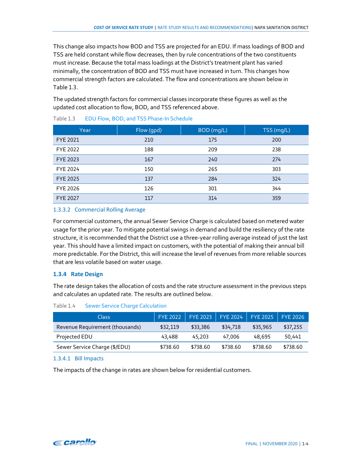This change also impacts how BOD and TSS are projected for an EDU. If mass loadings of BOD and TSS are held constant while flow decreases, then by rule concentrations of the two constituents must increase. Because the total mass loadings at the District's treatment plant has varied minimally, the concentration of BOD and TSS must have increased in turn. This changes how commercial strength factors are calculated. The flow and concentrations are shown below in Table 1.3.

The updated strength factors for commercial classes incorporate these figures as well as the updated cost allocation to flow, BOD, and TSS referenced above.

| Year            | Flow (gpd) | BOD (mg/L) | TSS (mg/L) |
|-----------------|------------|------------|------------|
| <b>FYE 2021</b> | 210        | 175        | 200        |
| FYE 2022        | 188        | 209        | 238        |
| <b>FYE 2023</b> | 167        | 240        | 274        |
| FYE 2024        | 150        | 265        | 303        |
| <b>FYE 2025</b> | 137        | 284        | 324        |
| FYE 2026        | 126        | 301        | 344        |
| <b>FYE 2027</b> | 117        | 314        | 359        |

# <span id="page-9-1"></span>Table 1.3 EDU Flow, BOD, and TSS Phase-In Schedule

#### 1.3.3.2 Commercial Rolling Average

For commercial customers, the annual Sewer Service Charge is calculated based on metered water usage for the prior year. To mitigate potential swings in demand and build the resiliency of the rate structure, it is recommended that the District use a three-year rolling average instead of just the last year. This should have a limited impact on customers, with the potential of making their annual bill more predictable. For the District, this will increase the level of revenues from more reliable sources that are less volatile based on water usage.

# <span id="page-9-0"></span>**1.3.4 Rate Design**

The rate design takes the allocation of costs and the rate structure assessment in the previous steps and calculates an updated rate. The results are outlined below.

<span id="page-9-2"></span>Table 1.4 Sewer Service Charge Calculation

| Class                           | <b>FYE 2022</b> |          | FYE 2023   FYE 2024   FYE 2025   FYE 2026 |          |          |
|---------------------------------|-----------------|----------|-------------------------------------------|----------|----------|
| Revenue Requirement (thousands) | \$32,119        | \$33,386 | \$34,718                                  | \$35,965 | \$37,255 |
| Projected EDU                   | 43,488          | 45,203   | 47,006                                    | 48,695   | 50,441   |
| Sewer Service Charge (\$/EDU)   | \$738.60        | \$738.60 | \$738.60                                  | \$738.60 | \$738.60 |

#### 1.3.4.1 Bill Impacts

The impacts of the change in rates are shown below for residential customers.

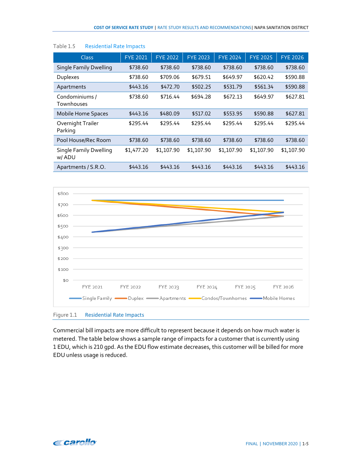| <b>Class</b>                           | <b>FYE 2021</b> | <b>FYE 2022</b> | <b>FYE 2023</b> | <b>FYE 2024</b> | <b>FYE 2025</b> | <b>FYE 2026</b> |
|----------------------------------------|-----------------|-----------------|-----------------|-----------------|-----------------|-----------------|
| <b>Single Family Dwelling</b>          | \$738.60        | \$738.60        | \$738.60        | \$738.60        | \$738.60        | \$738.60        |
| <b>Duplexes</b>                        | \$738.60        | \$709.06        | \$679.51        | \$649.97        | \$620.42        | \$590.88        |
| Apartments                             | \$443.16        | \$472.70        | \$502.25        | \$531.79        | \$561.34        | \$590.88        |
| Condominiums /<br>Townhouses           | \$738.60        | \$716.44        | \$694.28        | \$672.13        | \$649.97        | \$627.81        |
| <b>Mobile Home Spaces</b>              | \$443.16        | \$480.09        | \$517.02        | \$553.95        | \$590.88        | \$627.81        |
| Overnight Trailer<br>Parking           | \$295.44        | \$295.44        | \$295.44        | \$295.44        | \$295.44        | \$295.44        |
| Pool House/Rec Room                    | \$738.60        | \$738.60        | \$738.60        | \$738.60        | \$738.60        | \$738.60        |
| <b>Single Family Dwelling</b><br>w/ADU | \$1,477.20      | \$1,107.90      | \$1,107.90      | \$1,107.90      | \$1,107.90      | \$1,107.90      |
| Apartments / S.R.O.                    | \$443.16        | \$443.16        | \$443.16        | \$443.16        | \$443.16        | \$443.16        |

## <span id="page-10-0"></span>Table 1.5 Residential Rate Impacts



#### <span id="page-10-1"></span>Figure 1.1 Residential Rate Impacts

Commercial bill impacts are more difficult to represent because it depends on how much water is metered. The table below shows a sample range of impacts for a customer that is currently using 1 EDU, which is 210 gpd. As the EDU flow estimate decreases, this customer will be billed for more EDU unless usage is reduced.

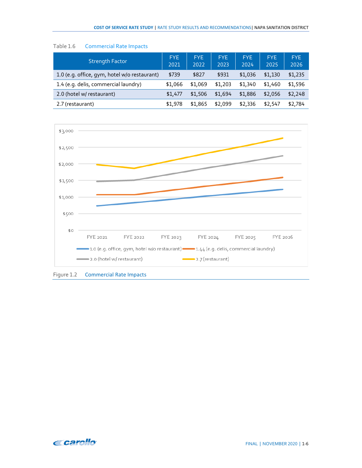| <b>Strength Factor</b>                       | <b>FYE</b><br>2021 | <b>FYE</b><br>2022 | <b>FYE</b><br>2023 | FYE.<br>2024 | <b>FYE</b><br>2025 | <b>FYE</b><br>2026 |
|----------------------------------------------|--------------------|--------------------|--------------------|--------------|--------------------|--------------------|
| 1.0 (e.g. office, gym, hotel w/o restaurant) | \$739              | \$827              | \$931              | \$1,036      | \$1,130            | \$1,235            |
| 1.4 (e.g. delis, commercial laundry)         | \$1,066            | \$1,069            | \$1,203            | \$1,340      | \$1,460            | \$1,596            |
| 2.0 (hotel w/ restaurant)                    | \$1,477            | \$1,506            | \$1,694            | \$1,886      | \$2,056            | \$2,248            |
| 2.7 (restaurant)                             | \$1,978            | \$1,865            | \$2,099            | \$2,336      | \$2,547            | \$2,784            |

# <span id="page-11-0"></span>Table 1.6 Commercial Rate Impacts



<span id="page-11-1"></span>Figure 1.2 Commercial Rate Impacts

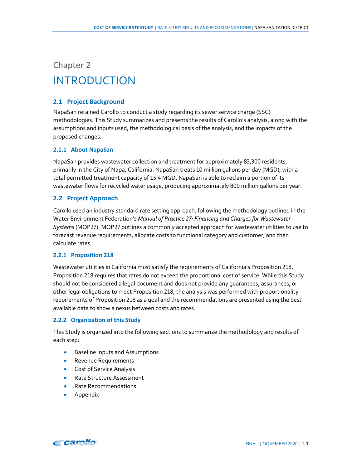# <span id="page-12-1"></span><span id="page-12-0"></span>Chapter 2 INTRODUCTION

# <span id="page-12-2"></span>**2.1 Project Background**

NapaSan retained Carollo to conduct a study regarding its sewer service charge (SSC) methodologies. This Study summarizes and presents the results of Carollo's analysis, along with the assumptions and inputs used, the methodological basis of the analysis, and the impacts of the proposed changes.

#### <span id="page-12-3"></span>**2.1.1 About NapaSan**

NapaSan provides wastewater collection and treatment for approximately 83,300 residents, primarily in the City of Napa, California. NapaSan treats 10 million gallons per day (MGD), with a total permitted treatment capacity of 15.4 MGD. NapaSan is able to reclaim a portion of its wastewater flows for recycled water usage, producing approximately 800 million gallons per year.

## <span id="page-12-4"></span>**2.2 Project Approach**

Carollo used an industry standard rate setting approach, following the methodology outlined in the Water Environment Federation's *Manual of Practice 27: Financing and Charges for Wastewater Systems* (MOP27)*.* MOP27 outlines a commonly accepted approach for wastewater utilities to use to forecast revenue requirements, allocate costs to functional category and customer, and then calculate rates.

#### <span id="page-12-5"></span>**2.2.1 Proposition 218**

Wastewater utilities in California must satisfy the requirements of California's Proposition 218. Proposition 218 requires that rates do not exceed the proportional cost of service. While this Study should not be considered a legal document and does not provide any guarantees, assurances, or other legal obligations to meet Proposition 218, the analysis was performed with proportionality requirements of Proposition 218 as a goal and the recommendations are presented using the best available data to show a nexus between costs and rates.

#### <span id="page-12-6"></span>**2.2.2 Organization of this Study**

This Study is organized into the following sections to summarize the methodology and results of each step:

- Baseline Inputs and Assumptions
- Revenue Requirements
- Cost of Service Analysis
- Rate Structure Assessment
- Rate Recommendations
- Appendix

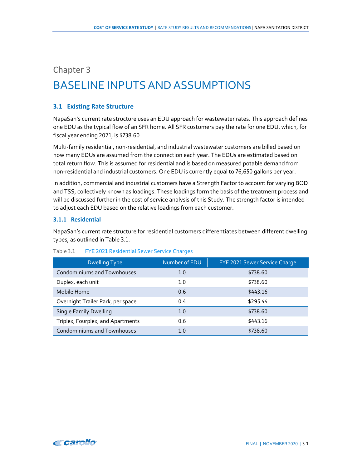# <span id="page-13-1"></span><span id="page-13-0"></span>Chapter 3 BASELINE INPUTS AND ASSUMPTIONS

# <span id="page-13-2"></span>**3.1 Existing Rate Structure**

NapaSan's current rate structure uses an EDU approach for wastewater rates. This approach defines one EDU as the typical flow of an SFR home. All SFR customers pay the rate for one EDU, which, for fiscal year ending 2021, is \$738.60.

Multi-family residential, non-residential, and industrial wastewater customers are billed based on how many EDUs are assumed from the connection each year. The EDUs are estimated based on total return flow. This is assumed for residential and is based on measured potable demand from non-residential and industrial customers. One EDU is currently equal to 76,650 gallons per year.

In addition, commercial and industrial customers have a Strength Factor to account for varying BOD and TSS, collectively known as loadings. These loadings form the basis of the treatment process and will be discussed further in the cost of service analysis of this Study. The strength factor is intended to adjust each EDU based on the relative loadings from each customer.

#### <span id="page-13-3"></span>**3.1.1 Residential**

NapaSan's current rate structure for residential customers differentiates between different dwelling types, as outlined in Table 3.1.

| <b>Dwelling Type</b>               | Number of EDU | FYE 2021 Sewer Service Charge |
|------------------------------------|---------------|-------------------------------|
| <b>Condominiums and Townhouses</b> | 1.0           | \$738.60                      |
| Duplex, each unit                  | 1.0           | \$738.60                      |
| Mobile Home                        | 0.6           | \$443.16                      |
| Overnight Trailer Park, per space  | 0.4           | \$295.44                      |
| <b>Single Family Dwelling</b>      | 1.0           | \$738.60                      |
| Triplex, Fourplex, and Apartments  | 0.6           | \$443.16                      |
| <b>Condominiums and Townhouses</b> | 1.0           | \$738.60                      |

#### <span id="page-13-4"></span>Table 3.1 FYE 2021 Residential Sewer Service Charges

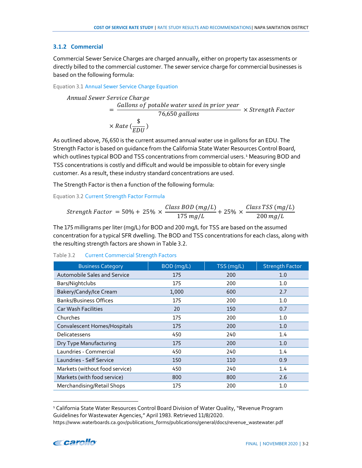#### <span id="page-14-0"></span>**3.1.2 Commercial**

Commercial Sewer Service Charges are charged annually, either on property tax assessments or directly billed to the commercial customer. The sewer service charge for commercial businesses is based on the following formula:

Equation 3.1 Annual Sewer Service Charge Equation

$$
Annual \text{ Sever Service Charge}
$$
\n
$$
= \frac{Gallons \text{ of notable water used in prior year}}{76,650 \text{ gallons}} \times \text{Rate} \left(\frac{\$}{EDU}\right)
$$

As outlined above, 76,650 is the current assumed annual water use in gallons for an EDU. The Strength Factor is based on guidance from the California State Water Resources Control Board, which outlines typical BOD and TSS concentrations from commercial users.<sup>[1](#page-14-2)</sup> Measuring BOD and TSS concentrations is costly and difficult and would be impossible to obtain for every single customer. As a result, these industry standard concentrations are used.

The Strength Factor is then a function of the following formula:

Equation 3.2 Current Strength Factor Formula

$$
Strength Factor = 50\% + 25\% \times \frac{Class\,BOD\left(mg/L\right)}{175\,mg/L} + 25\% \times \frac{Class\,TSS\left(mg/L\right)}{200\,mg/L}
$$

The 175 milligrams per liter (mg/L) for BOD and 200 mg/L for TSS are based on the assumed concentration for a typical SFR dwelling. The BOD and TSS concentrations for each class, along with the resulting strength factors are shown in Table 3.2.

#### <span id="page-14-1"></span>Table 3.2 Current Commercial Strength Factors

| <b>Business Category</b>            | BOD (mg/L) | TSS (mg/L) | <b>Strength Factor</b> |
|-------------------------------------|------------|------------|------------------------|
| <b>Automobile Sales and Service</b> | 175        | 200        | 1.0                    |
| Bars/Nightclubs                     | 175        | 200        | 1.0                    |
| Bakery/Candy/Ice Cream              | 1,000      | 600        | 2.7                    |
| <b>Banks/Business Offices</b>       | 175        | 200        | 1.0                    |
| <b>Car Wash Facilities</b>          | 20         | 150        | 0.7                    |
| Churches                            | 175        | 200        | 1.0                    |
| Convalescent Homes/Hospitals        | 175        | 200        | 1.0                    |
| Delicatessens                       | 450        | 240        | 1.4                    |
| Dry Type Manufacturing              | 175        | 200        | 1.0                    |
| Laundries - Commercial              | 450        | 240        | 1.4                    |
| Laundries - Self Service            | 150        | 110        | 0.9                    |
| Markets (without food service)      | 450        | 240        | 1.4                    |
| Markets (with food service)         | 800        | 800        | 2.6                    |
| Merchandising/Retail Shops          | 175        | 200        | 1.0                    |

<sup>1</sup> California State Water Resources Control Board Division of Water Quality, "Revenue Program Guidelines for Wastewater Agencies," April 1983. Retrieved 11/8/2020.

<span id="page-14-2"></span>https://www.waterboards.ca.gov/publications\_forms/publications/general/docs/revenue\_wastewater.pdf

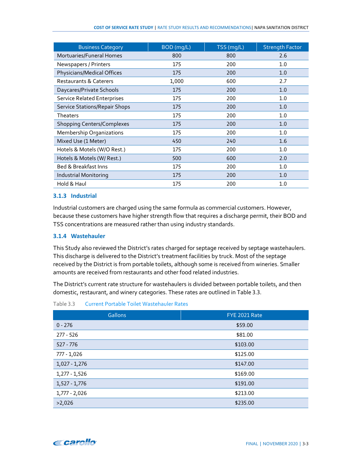| <b>Business Category</b>           | BOD (mg/L) | TSS (mg/L) | <b>Strength Factor</b> |
|------------------------------------|------------|------------|------------------------|
| Mortuaries/Funeral Homes           | 800        | 800        | 2.6                    |
| Newspapers / Printers              | 175        | 200        | 1.0                    |
| Physicians/Medical Offices         | 175        | 200        | 1.0                    |
| <b>Restaurants &amp; Caterers</b>  | 1,000      | 600        | 2.7                    |
| Daycares/Private Schools           | 175        | 200        | 1.0                    |
| <b>Service Related Enterprises</b> | 175        | 200        | 1.0                    |
| Service Stations/Repair Shops      | 175        | 200        | 1.0                    |
| <b>Theaters</b>                    | 175        | 200        | 1.0                    |
| <b>Shopping Centers/Complexes</b>  | 175        | 200        | 1.0                    |
| Membership Organizations           | 175        | 200        | 1.0                    |
| Mixed Use (1 Meter)                | 450        | 240        | 1.6                    |
| Hotels & Motels (W/O Rest.)        | 175        | 200        | 1.0                    |
| Hotels & Motels (W/ Rest.)         | 500        | 600        | 2.0                    |
| <b>Bed &amp; Breakfast Inns</b>    | 175        | 200        | 1.0                    |
| <b>Industrial Monitoring</b>       | 175        | 200        | 1.0                    |
| Hold & Haul                        | 175        | 200        | 1.0                    |

# <span id="page-15-0"></span>**3.1.3 Industrial**

Industrial customers are charged using the same formula as commercial customers. However, because these customers have higher strength flow that requires a discharge permit, their BOD and TSS concentrations are measured rather than using industry standards.

#### <span id="page-15-1"></span>**3.1.4 Wastehauler**

This Study also reviewed the District's rates charged for septage received by septage wastehaulers. This discharge is delivered to the District's treatment facilities by truck. Most of the septage received by the District is from portable toilets, although some is received from wineries. Smaller amounts are received from restaurants and other food related industries.

The District's current rate structure for wastehaulers is divided between portable toilets, and then domestic, restaurant, and winery categories. These rates are outlined in [Table 3.3.](#page-15-2)

<span id="page-15-2"></span>Table 3.3 Current Portable Toilet Wastehauler Rates

| <b>Gallons</b>  | FYE 2021 Rate |
|-----------------|---------------|
| $0 - 276$       | \$59.00       |
| $277 - 526$     | \$81.00       |
| 527 - 776       | \$103.00      |
| 777 - 1,026     | \$125.00      |
| $1,027 - 1,276$ | \$147.00      |
| $1,277 - 1,526$ | \$169.00      |
| $1,527 - 1,776$ | \$191.00      |
| $1,777 - 2,026$ | \$213.00      |
| >2,026          | \$235.00      |

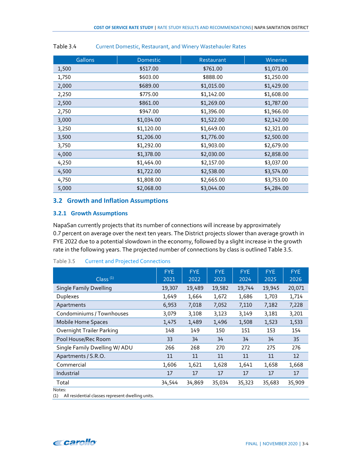| <b>Gallons</b> | Domestic   | Restaurant | <b>Wineries</b> |
|----------------|------------|------------|-----------------|
| 1,500          | \$517.00   | \$761.00   | \$1,071.00      |
| 1,750          | \$603.00   | \$888.00   | \$1,250.00      |
| 2,000          | \$689.00   | \$1,015.00 | \$1,429.00      |
| 2,250          | \$775.00   | \$1,142.00 | \$1,608.00      |
| 2,500          | \$861.00   | \$1,269.00 | \$1,787.00      |
| 2,750          | \$947.00   | \$1,396.00 | \$1,966.00      |
| 3,000          | \$1,034.00 | \$1,522.00 | \$2,142.00      |
| 3,250          | \$1,120.00 | \$1,649.00 | \$2,321.00      |
| 3,500          | \$1,206.00 | \$1,776.00 | \$2,500.00      |
| 3,750          | \$1,292.00 | \$1,903.00 | \$2,679.00      |
| 4,000          | \$1,378.00 | \$2,030.00 | \$2,858.00      |
| 4,250          | \$1,464.00 | \$2,157.00 | \$3,037.00      |
| 4,500          | \$1,722.00 | \$2,538.00 | \$3,574.00      |
| 4,750          | \$1,808.00 | \$2,665.00 | \$3,753.00      |
| 5,000          | \$2,068.00 | \$3,044.00 | \$4,284.00      |

#### <span id="page-16-2"></span>Table 3.4 Current Domestic, Restaurant, and Winery Wastehauler Rates

#### <span id="page-16-0"></span>**3.2 Growth and Inflation Assumptions**

#### <span id="page-16-1"></span>**3.2.1 Growth Assumptions**

NapaSan currently projects that its number of connections will increase by approximately 0.7 percent on average over the next ten years. The District projects slower than average growth in FYE 2022 due to a potential slowdown in the economy, followed by a slight increase in the growth rate in the following years. The projected number of connections by class is outlined Table 3.5.

<span id="page-16-3"></span>

| Table 3.5<br><b>Current and Projected Connections</b> |  |
|-------------------------------------------------------|--|
|-------------------------------------------------------|--|

| Class <sup>(1)</sup>          | <b>FYE</b><br>2021 | <b>FYE</b><br>2022 | <b>FYE</b><br>2023 | <b>FYE</b><br>2024 | <b>FYE</b><br>2025 | <b>FYE</b><br>2026 |
|-------------------------------|--------------------|--------------------|--------------------|--------------------|--------------------|--------------------|
| <b>Single Family Dwelling</b> | 19,307             | 19,489             | 19,582             | 19,744             | 19,945             | 20,071             |
| <b>Duplexes</b>               | 1,649              | 1,664              | 1,672              | 1,686              | 1,703              | 1,714              |
| Apartments                    | 6,953              | 7,018              | 7,052              | 7,110              | 7,182              | 7,228              |
| Condominiums / Townhouses     | 3,079              | 3,108              | 3,123              | 3,149              | 3,181              | 3,201              |
| <b>Mobile Home Spaces</b>     | 1,475              | 1,489              | 1,496              | 1,508              | 1,523              | 1,533              |
| Overnight Trailer Parking     | 148                | 149                | 150                | 151                | 153                | 154                |
| Pool House/Rec Room           | 33                 | 34                 | 34                 | 34                 | 34                 | 35                 |
| Single Family Dwelling W/ ADU | 266                | 268                | 270                | 272                | 275                | 276                |
| Apartments / S.R.O.           | 11                 | 11                 | 11                 | 11                 | 11                 | 12                 |
| Commercial                    | 1,606              | 1,621              | 1,628              | 1,641              | 1,658              | 1,668              |
| Industrial                    | 17                 | 17                 | 17                 | 17                 | 17                 | 17                 |
| Total                         | 34,544             | 34,869             | 35,034             | 35,323             | 35,683             | 35,909             |
| Notes:                        |                    |                    |                    |                    |                    |                    |

(1) All residential classes represent dwelling units.

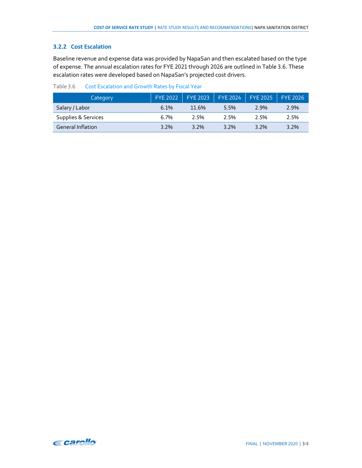# <span id="page-17-0"></span>**3.2.2 Cost Escalation**

Baseline revenue and expense data was provided by NapaSan and then escalated based on the type of expense. The annual escalation rates for FYE 2021 through 2026 are outlined in Table 3.6. These escalation rates were developed based on NapaSan's projected cost drivers.

<span id="page-17-1"></span>Table 3.6 Cost Escalation and Growth Rates by Fiscal Year

| Category                 | <b>FYE 2022</b> | $FYE 2023$ $FYE 2024$ |         | FYE 2025 | <b>FYE 2026</b> |
|--------------------------|-----------------|-----------------------|---------|----------|-----------------|
| Salary / Labor           | 6.1%            | 11.6%                 | 5.5%    | 2.9%     | 2.9%            |
| Supplies & Services      | 6.7%            | 2.5%                  | 2.5%    | 2.5%     | 2.5%            |
| <b>General Inflation</b> | 3.2%            | 3.2%                  | $3.2\%$ | 3.2%     | 3.2%            |

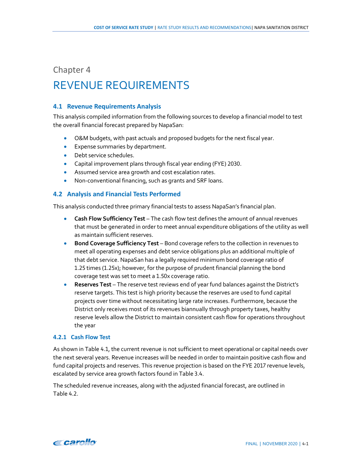# <span id="page-18-1"></span><span id="page-18-0"></span>Chapter 4 REVENUE REQUIREMENTS

## <span id="page-18-2"></span>**4.1 Revenue Requirements Analysis**

This analysis compiled information from the following sources to develop a financial model to test the overall financial forecast prepared by NapaSan:

- O&M budgets, with past actuals and proposed budgets for the next fiscal year.
- Expense summaries by department.
- Debt service schedules.
- Capital improvement plans through fiscal year ending (FYE) 2030.
- Assumed service area growth and cost escalation rates.
- Non-conventional financing, such as grants and SRF loans.

## <span id="page-18-3"></span>**4.2 Analysis and Financial Tests Performed**

This analysis conducted three primary financial tests to assess NapaSan's financial plan.

- **Cash Flow Sufficiency Test** The cash flow test defines the amount of annual revenues that must be generated in order to meet annual expenditure obligations of the utility as well as maintain sufficient reserves.
- **Bond Coverage Sufficiency Test** Bond coverage refers to the collection in revenues to meet all operating expenses and debt service obligations plus an additional multiple of that debt service. NapaSan has a legally required minimum bond coverage ratio of 1.25 times (1.25x); however, for the purpose of prudent financial planning the bond coverage test was set to meet a 1.50x coverage ratio.
- **Reserves Test** The reserve test reviews end of year fund balances against the District's reserve targets. This test is high priority because the reserves are used to fund capital projects over time without necessitating large rate increases. Furthermore, because the District only receives most of its revenues biannually through property taxes, healthy reserve levels allow the District to maintain consistent cash flow for operations throughout the year

#### <span id="page-18-4"></span>**4.2.1 Cash Flow Test**

As shown in Table 4.1, the current revenue is not sufficient to meet operational or capital needs over the next several years. Revenue increases will be needed in order to maintain positive cash flow and fund capital projects and reserves. This revenue projection is based on the FYE 2017 revenue levels, escalated by service area growth factors found in Table 3.4.

The scheduled revenue increases, along with the adjusted financial forecast, are outlined in Table 4.2.

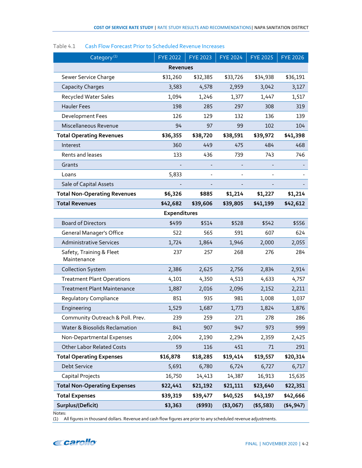| Category <sup>(1)</sup>                 | <b>FYE 2022</b> | <b>FYE 2023</b> | <b>FYE 2024</b> | <b>FYE 2025</b> | <b>FYE 2026</b> |
|-----------------------------------------|-----------------|-----------------|-----------------|-----------------|-----------------|
|                                         | <b>Revenues</b> |                 |                 |                 |                 |
| Sewer Service Charge                    | \$31,260        | \$32,385        | \$33,726        | \$34,938        | \$36,191        |
| <b>Capacity Charges</b>                 | 3,583           | 4,578           | 2,959           | 3,042           | 3,127           |
| <b>Recycled Water Sales</b>             | 1,094           | 1,246           | 1,377           | 1,447           | 1,517           |
| <b>Hauler Fees</b>                      | 198             | 285             | 297             | 308             | 319             |
| Development Fees                        | 126             | 129             | 132             | 136             | 139             |
| Miscellaneous Revenue                   | 94              | 97              | 99              | 102             | 104             |
| <b>Total Operating Revenues</b>         | \$36,355        | \$38,720        | \$38,591        | \$39,972        | \$41,398        |
| Interest                                | 360             | 449             | 475             | 484             | 468             |
| Rents and leases                        | 133             | 436             | 739             | 743             | 746             |
| Grants                                  |                 |                 |                 |                 |                 |
| Loans                                   | 5,833           |                 |                 |                 |                 |
| Sale of Capital Assets                  |                 |                 |                 |                 |                 |
| <b>Total Non-Operating Revenues</b>     | \$6,326         | \$885           | \$1,214         | \$1,227         | \$1,214         |
| <b>Total Revenues</b>                   | \$42,682        | \$39,606        | \$39,805        | \$41,199        | \$42,612        |
|                                         | Expenditures    |                 |                 |                 |                 |
| <b>Board of Directors</b>               | \$499           | \$514           | \$528           | \$542           | \$556           |
| <b>General Manager's Office</b>         | 522             | 565             | 591             | 607             | 624             |
| <b>Administrative Services</b>          | 1,724           | 1,864           | 1,946           | 2,000           | 2,055           |
| Safety, Training & Fleet<br>Maintenance | 237             | 257             | 268             | 276             | 284             |
| <b>Collection System</b>                | 2,386           | 2,625           | 2,756           | 2,834           | 2,914           |
| <b>Treatment Plant Operations</b>       | 4,101           | 4,350           | 4,513           | 4,633           | 4,757           |
| <b>Treatment Plant Maintenance</b>      | 1,887           | 2,016           | 2,096           | 2,152           | 2,211           |
| Regulatory Compliance                   | 851             | 935             | 981             | 1,008           | 1,037           |
| Engineering                             | 1,529           | 1,687           | 1,773           | 1,824           | 1,876           |
| Community Outreach & Poll. Prev.        | 239             | 259             | 271             | 278             | 286             |
| Water & Biosolids Reclamation           | 841             | 907             | 947             | 973             | 999             |
| Non-Departmental Expenses               | 2,004           | 2,190           | 2,294           | 2,359           | 2,425           |
| <b>Other Labor Related Costs</b>        | 59              | 116             | 451             | 71              | 291             |
| <b>Total Operating Expenses</b>         | \$16,878        | \$18,285        | \$19,414        | \$19,557        | \$20,314        |
| Debt Service                            | 5,691           | 6,780           | 6,724           | 6,727           | 6,717           |
| Capital Projects                        | 16,750          | 14,413          | 14,387          | 16,913          | 15,635          |
| <b>Total Non-Operating Expenses</b>     | \$22,441        | \$21,192        | \$21,111        | \$23,640        | \$22,351        |
| <b>Total Expenses</b>                   | \$39,319        | \$39,477        | \$40,525        | \$43,197        | \$42,666        |
| Surplus/(Deficit)                       | \$3,363         | ( \$993)        | ( \$3,067)      | ( \$5,583)      | ( \$4, 947)     |

#### <span id="page-19-0"></span>Table 4.1 Cash Flow Forecast Prior to Scheduled Revenue Increases

(1) All figures in thousand dollars. Revenue and cash flow figures are prior to any scheduled revenue adjustments.

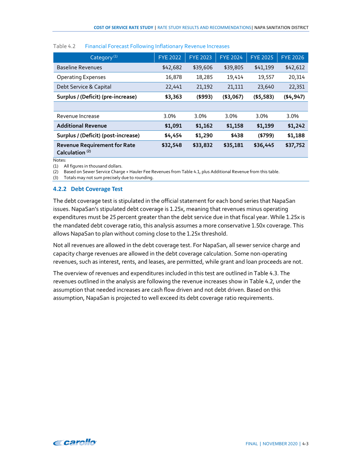| Category <sup>(1)</sup>                                           | <b>FYE 2022</b> | <b>FYE 2023</b> | <b>FYE 2024</b> | <b>FYE 2025</b> | <b>FYE 2026</b> |
|-------------------------------------------------------------------|-----------------|-----------------|-----------------|-----------------|-----------------|
| <b>Baseline Revenues</b>                                          | \$42,682        | \$39,606        | \$39,805        | \$41,199        | \$42,612        |
| <b>Operating Expenses</b>                                         | 16,878          | 18,285          | 19,414          | 19,557          | 20,314          |
| Debt Service & Capital                                            | 22,441          | 21,192          | 21,111          | 23,640          | 22,351          |
| Surplus / (Deficit) (pre-increase)                                | \$3,363         | ( \$993)        | ( \$3,067)      | ( \$5,583)      | (4, 947)        |
|                                                                   |                 |                 |                 |                 |                 |
| Revenue Increase                                                  | 3.0%            | 3.0%            | 3.0%            | 3.0%            | 3.0%            |
| <b>Additional Revenue</b>                                         | \$1,091         | \$1,162         | \$1,158         | \$1,199         | \$1,242         |
| Surplus / (Deficit) (post-increase)                               | \$4,454         | \$1,290         | \$438           | ( \$799)        | \$1,188         |
| <b>Revenue Requirement for Rate</b><br>Calculation <sup>(2)</sup> | \$32,548        | \$33,832        | \$35,181        | \$36,445        | \$37,752        |

#### <span id="page-20-1"></span>Table 4.2 Financial Forecast Following Inflationary Revenue Increases

Notes:

(1) All figures in thousand dollars.

(2) Based on Sewer Service Charge + Hauler Fee Revenues from Table 4.1, plus Additional Revenue from this table.

(3) Totals may not sum precisely due to rounding.

#### <span id="page-20-0"></span>**4.2.2 Debt Coverage Test**

The debt coverage test is stipulated in the official statement for each bond series that NapaSan issues. NapaSan's stipulated debt coverage is 1.25x, meaning that revenues minus operating expenditures must be 25 percent greater than the debt service due in that fiscal year. While 1.25x is the mandated debt coverage ratio, this analysis assumes a more conservative 1.50x coverage. This allows NapaSan to plan without coming close to the 1.25x threshold.

Not all revenues are allowed in the debt coverage test. For NapaSan, all sewer service charge and capacity charge revenues are allowed in the debt coverage calculation. Some non-operating revenues, such as interest, rents, and leases, are permitted, while grant and loan proceeds are not.

The overview of revenues and expenditures included in this test are outlined in Table 4.3. The revenues outlined in the analysis are following the revenue increases show in Table 4.2, under the assumption that needed increases are cash flow driven and not debt driven. Based on this assumption, NapaSan is projected to well exceed its debt coverage ratio requirements.

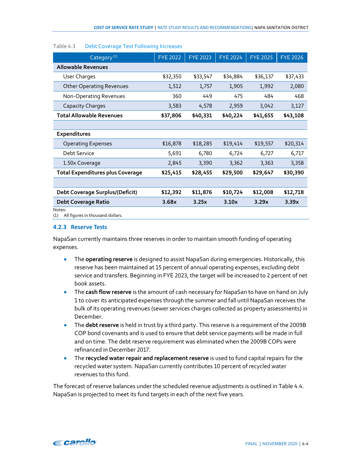| Category <sup>(1)</sup>                           | <b>FYE 2022</b> | <b>FYE 2023</b> | <b>FYE 2024</b> | <b>FYE 2025</b> | <b>FYE 2026</b> |
|---------------------------------------------------|-----------------|-----------------|-----------------|-----------------|-----------------|
| <b>Allowable Revenues</b>                         |                 |                 |                 |                 |                 |
| User Charges                                      | \$32,350        | \$33,547        | \$34,884        | \$36,137        | \$37,433        |
| <b>Other Operating Revenues</b>                   | 1,512           | 1,757           | 1,905           | 1,992           | 2,080           |
| Non-Operating Revenues                            | 360             | 449             | 475             | 484             | 468             |
| <b>Capacity Charges</b>                           | 3,583           | 4,578           | 2,959           | 3,042           | 3,127           |
| <b>Total Allowable Revenues</b>                   | \$37,806        | \$40,331        | \$40,224        | \$41,655        | \$43,108        |
|                                                   |                 |                 |                 |                 |                 |
| Expenditures                                      |                 |                 |                 |                 |                 |
| <b>Operating Expenses</b>                         | \$16,878        | \$18,285        | \$19,414        | \$19,557        | \$20,314        |
| Debt Service                                      | 5,691           | 6,780           | 6,724           | 6,727           | 6,717           |
| 1.50x Coverage                                    | 2,845           | 3,390           | 3,362           | 3,363           | 3,358           |
| <b>Total Expenditures plus Coverage</b>           | \$25,415        | \$28,455        | \$29,500        | \$29,647        | \$30,390        |
|                                                   |                 |                 |                 |                 |                 |
| <b>Debt Coverage Surplus/(Deficit)</b>            | \$12,392        | \$11,876        | \$10,724        | \$12,008        | \$12,718        |
| <b>Debt Coverage Ratio</b>                        | 3.68x           | 3.25x           | 3.10x           | 3.29x           | 3.39x           |
| Notes:<br>All figures in thousand dollars.<br>(1) |                 |                 |                 |                 |                 |

#### <span id="page-21-1"></span>Table 4.3 Debt Coverage Test Following Increases

#### <span id="page-21-0"></span>**4.2.3 Reserve Tests**

NapaSan currently maintains three reserves in order to maintain smooth funding of operating expenses.

- The **operating reserve** is designed to assist NapaSan during emergencies. Historically, this reserve has been maintained at 15 percent of annual operating expenses, excluding debt service and transfers. Beginning in FYE 2023, the target will be increased to 2 percent of net book assets.
- The **cash flow reserve** is the amount of cash necessary for NapaSan to have on hand on July 1 to cover its anticipated expenses through the summer and fall until NapaSan receives the bulk of its operating revenues (sewer services charges collected as property assessments) in December.
- The **debt reserve** is held in trust by a third party. This reserve is a requirement of the 2009B COP bond covenants and is used to ensure that debt service payments will be made in full and on time. The debt reserve requirement was eliminated when the 2009B COPs were refinanced in December 2017.
- The **recycled water repair and replacement reserve** is used to fund capital repairs for the recycled water system. NapaSan currently contributes 10 percent of recycled water revenues to this fund.

The forecast of reserve balances under the scheduled revenue adjustments is outlined in Table 4.4. NapaSan is projected to meet its fund targets in each of the next five years.

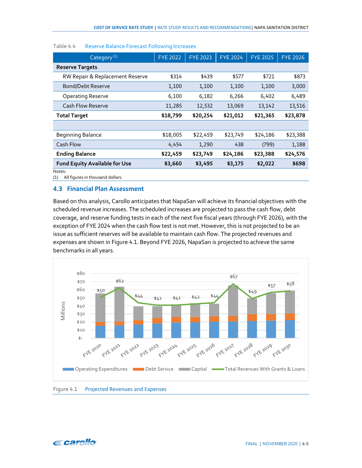| Category <sup>(1)</sup>                       | <b>FYE 2022</b> | <b>FYE 2023</b> | <b>FYE 2024</b> | <b>FYE 2025</b> | <b>FYE 2026</b> |
|-----------------------------------------------|-----------------|-----------------|-----------------|-----------------|-----------------|
| <b>Reserve Targets</b>                        |                 |                 |                 |                 |                 |
| RW Repair & Replacement Reserve               | \$314           | \$439           | \$577           | \$721           | \$873           |
| Bond/Debt Reserve                             | 1,100           | 1,100           | 1,100           | 1,100           | 3,000           |
| <b>Operating Reserve</b>                      | 6,100           | 6,182           | 6,266           | 6,402           | 6,489           |
| <b>Cash Flow Reserve</b>                      | 11,285          | 12,532          | 13,069          | 13,142          | 13,516          |
| <b>Total Target</b>                           | \$18,799        | \$20,254        | \$21,012        | \$21,365        | \$23,878        |
|                                               |                 |                 |                 |                 |                 |
| <b>Beginning Balance</b>                      | \$18,005        | \$22,459        | \$23,749        | \$24,186        | \$23,388        |
| Cash Flow                                     | 4,454           | 1,290           | 438             | (799)           | 1,188           |
| <b>Ending Balance</b>                         | \$22,459        | \$23,749        | \$24,186        | \$23,388        | \$24,576        |
| <b>Fund Equity Available for Use</b>          | \$3,660         | \$3,495         | \$3,175         | \$2,022         | \$698           |
| Notes:<br>(1) All figures in thousand dollars |                 |                 |                 |                 |                 |

#### <span id="page-22-1"></span>Table 4.4 Reserve Balance Forecast Following Increases

<span id="page-22-0"></span>(1) All figures in thousand dollars.

### **4.3 Financial Plan Assessment**

Based on this analysis, Carollo anticipates that NapaSan will achieve its financial objectives with the scheduled revenue increases. The scheduled increases are projected to pass the cash flow, debt coverage, and reserve funding tests in each of the next five fiscal years (through FYE 2026), with the exception of FYE 2024 when the cash flow test is not met. However, this is not projected to be an issue as sufficient reserves will be available to maintain cash flow. The projected revenues and expenses are shown in Figure 4.1. Beyond FYE 2026, NapaSan is projected to achieve the same benchmarks in all years.



<span id="page-22-2"></span>

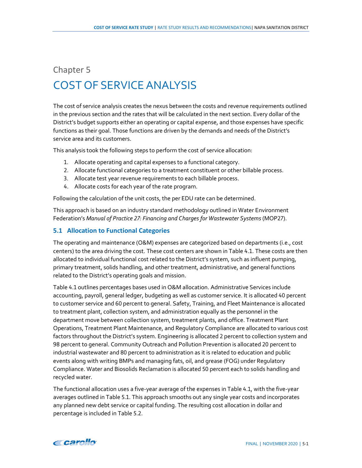# <span id="page-23-1"></span><span id="page-23-0"></span>Chapter 5 COST OF SERVICE ANALYSIS

The cost of service analysis creates the nexus between the costs and revenue requirements outlined in the previous section and the rates that will be calculated in the next section. Every dollar of the District's budget supports either an operating or capital expense, and those expenses have specific functions as their goal. Those functions are driven by the demands and needs of the District's service area and its customers.

This analysis took the following steps to perform the cost of service allocation:

- 1. Allocate operating and capital expenses to a functional category.
- 2. Allocate functional categories to a treatment constituent or other billable process.
- 3. Allocate test year revenue requirements to each billable process.
- 4. Allocate costs for each year of the rate program.

Following the calculation of the unit costs, the per EDU rate can be determined.

This approach is based on an industry standard methodology outlined in Water Environment Federation's *Manual of Practice 27: Financing and Charges for Wastewater Systems* (MOP27).

## <span id="page-23-2"></span>**5.1 Allocation to Functional Categories**

The operating and maintenance (O&M) expenses are categorized based on departments (i.e., cost centers) to the area driving the cost. These cost centers are shown in Table 4.1. These costs are then allocated to individual functional cost related to the District's system, such as influent pumping, primary treatment, solids handling, and other treatment, administrative, and general functions related to the District's operating goals and mission.

Table 4.1 outlines percentages bases used in O&M allocation. Administrative Services include accounting, payroll, general ledger, budgeting as well as customer service. It is allocated 40 percent to customer service and 60 percent to general. Safety, Training, and Fleet Maintenance is allocated to treatment plant, collection system, and administration equally as the personnel in the department move between collection system, treatment plants, and office. Treatment Plant Operations, Treatment Plant Maintenance, and Regulatory Compliance are allocated to various cost factors throughout the District's system. Engineering is allocated 2 percent to collection system and 98 percent to general. Community Outreach and Pollution Prevention is allocated 20 percent to industrial wastewater and 80 percent to administration as it is related to education and public events along with writing BMPs and managing fats, oil, and grease (FOG) under Regulatory Compliance. Water and Biosolids Reclamation is allocated 50 percent each to solids handling and recycled water.

The functional allocation uses a five-year average of the expenses in Table 4.1, with the five-year averages outlined in Table 5.1. This approach smooths out any single year costs and incorporates any planned new debt service or capital funding. The resulting cost allocation in dollar and percentage is included in Table 5.2.

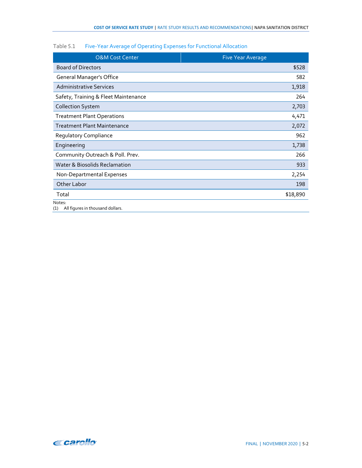<span id="page-24-0"></span>

| Table 5.1 | <b>Five-Year Average of Operating Expenses for Functional Allocation</b> |  |  |
|-----------|--------------------------------------------------------------------------|--|--|
|           |                                                                          |  |  |

| <b>O&amp;M Cost Center</b>                        | <b>Five Year Average</b> |
|---------------------------------------------------|--------------------------|
| <b>Board of Directors</b>                         | \$528                    |
| <b>General Manager's Office</b>                   | 582                      |
| <b>Administrative Services</b>                    | 1,918                    |
| Safety, Training & Fleet Maintenance              | 264                      |
| <b>Collection System</b>                          | 2,703                    |
| <b>Treatment Plant Operations</b>                 | 4,471                    |
| <b>Treatment Plant Maintenance</b>                | 2,072                    |
| Regulatory Compliance                             | 962                      |
| Engineering                                       | 1,738                    |
| Community Outreach & Poll. Prev.                  | 266                      |
| Water & Biosolids Reclamation                     | 933                      |
| Non-Departmental Expenses                         | 2,254                    |
| Other Labor                                       | 198                      |
| Total                                             | \$18,890                 |
| Notes:<br>All figures in thousand dollars.<br>(1) |                          |

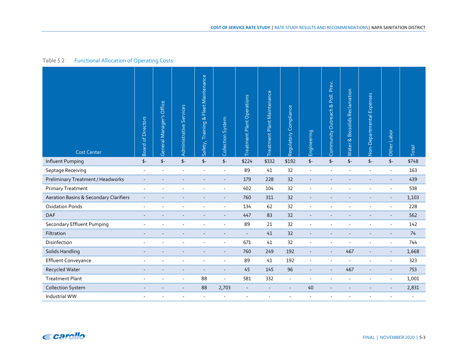| Table 5.2 | <b>Functional Allocation of Operating Costs</b> |  |  |  |
|-----------|-------------------------------------------------|--|--|--|
|-----------|-------------------------------------------------|--|--|--|

<span id="page-25-0"></span>

| <b>Cost Center</b>                                | <b>Board of Directors</b> | General Manager's Office | Administrative Services | Fleet Maintenance<br>Safety, Training & | Collection System        | <b>Treatment Plant Operations</b> | Treatment Plant Maintenance | Regulatory Compliance    | Engineering              | Community Outreach & Poll. Prev. | <b>Biosolids Reclamation</b><br>Water $\&$ E | Non-Departmental Expenses | Other Labor              | <b>Total</b>             |
|---------------------------------------------------|---------------------------|--------------------------|-------------------------|-----------------------------------------|--------------------------|-----------------------------------|-----------------------------|--------------------------|--------------------------|----------------------------------|----------------------------------------------|---------------------------|--------------------------|--------------------------|
| Influent Pumping                                  | $\frac{1}{2}$             | \$-                      | \$-                     | $$-$                                    | $$-$                     | \$224                             | \$332                       | \$192                    | \$-                      | \$-                              | $\mathsf{\$}$ -                              | $$$ -                     | $$$ -                    | \$748                    |
| Septage Receiving                                 | $\overline{\phantom{a}}$  | $\overline{a}$           | $\overline{a}$          | $\overline{\phantom{a}}$                | $\overline{\phantom{a}}$ | 89                                | 41                          | 32                       | $\overline{\phantom{a}}$ | $\overline{\phantom{a}}$         |                                              |                           | $\overline{\phantom{a}}$ | 163                      |
| Preliminary Treatment / Headworks                 |                           |                          |                         |                                         |                          | 179                               | 228                         | 32                       | $\overline{a}$           |                                  |                                              |                           |                          | 439                      |
| <b>Primary Treatment</b>                          |                           |                          |                         |                                         |                          | 402                               | 104                         | 32                       | $\overline{a}$           |                                  |                                              |                           |                          | 538                      |
| <b>Aeration Basins &amp; Secondary Clarifiers</b> |                           |                          |                         |                                         | L,                       | 760                               | 311                         | 32                       | $\overline{\phantom{a}}$ |                                  |                                              |                           | $\overline{\phantom{a}}$ | 1,103                    |
| <b>Oxidation Ponds</b>                            |                           |                          |                         |                                         | $\overline{a}$           | 134                               | 62                          | 32                       | $\blacksquare$           |                                  |                                              |                           |                          | 228                      |
| <b>DAF</b>                                        |                           |                          |                         |                                         |                          | 447                               | 83                          | 32                       | $\overline{\phantom{a}}$ |                                  |                                              |                           |                          | 562                      |
| <b>Secondary Effluent Pumping</b>                 |                           |                          |                         |                                         |                          | 89                                | 21                          | 32                       | $\overline{a}$           |                                  |                                              |                           |                          | 142                      |
| Filtration                                        |                           |                          |                         |                                         | $\overline{a}$           | $\overline{\phantom{a}}$          | $41$                        | 32                       |                          |                                  |                                              |                           |                          | $74$                     |
| Disinfection                                      |                           |                          |                         |                                         | L,                       | 671                               | 41                          | 32                       | $\overline{a}$           | $\overline{a}$                   |                                              |                           |                          | 744                      |
| Solids Handling                                   |                           |                          |                         |                                         |                          | 760                               | 249                         | 192                      | $\overline{\phantom{a}}$ |                                  | 467                                          |                           |                          | 1,668                    |
| <b>Effluent Conveyance</b>                        |                           |                          |                         |                                         |                          | 89                                | 41                          | 192                      | $\overline{a}$           | $\overline{a}$                   |                                              |                           |                          | 323                      |
| Recycled Water                                    |                           |                          | $\overline{a}$          | $\overline{a}$                          | $\overline{\phantom{a}}$ | 45                                | 145                         | 96                       | $\overline{\phantom{a}}$ | $\overline{\phantom{a}}$         | 467                                          |                           | $\blacksquare$           | 753                      |
| <b>Treatment Plant</b>                            |                           |                          | $\overline{a}$          | 88                                      | $\overline{\phantom{a}}$ | 581                               | 332                         | $\blacksquare$           | $\overline{a}$           | $\overline{a}$                   |                                              |                           |                          | 1,001                    |
| <b>Collection System</b>                          |                           |                          | $\overline{a}$          | 88                                      | 2,703                    | $\overline{\phantom{a}}$          | $\overline{\phantom{a}}$    | $\overline{\phantom{a}}$ | 40                       | $\overline{\phantom{a}}$         |                                              |                           |                          | 2,831                    |
| Industrial WW                                     |                           |                          |                         |                                         |                          |                                   |                             |                          |                          |                                  |                                              |                           |                          | $\overline{\phantom{a}}$ |

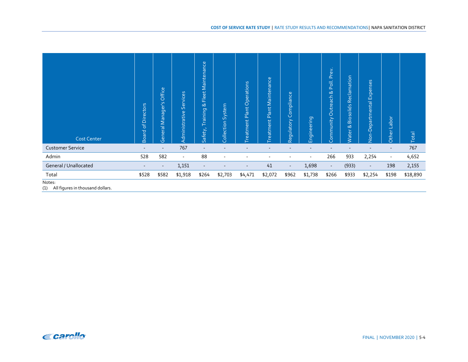| <b>Cost Center</b>                                                                                                                                                                                                                                                                                                                                                                                                                   | Directors<br>$\sigma$<br>bie<br>Ğ. | Office<br>General Manager's | rvices<br>$\overline{\omega}$<br>ΙŪΩ.<br>$\mathbbmss{D}$<br>Administrativ | Fleet Maintenance<br>$\infty$<br>Training<br>Safety, | System<br>Collection     | Operations<br>reatment Plant | <b>Treatment Plant Maintenance</b> | Regulatory Compliance    | Engineering              | Poll. Prev.<br>Community Outreach & | Reclamation<br>Biosolids<br>$\infty$<br>Water | Non-Departmental Expenses | Labor<br>Other | <b>Total</b> |
|--------------------------------------------------------------------------------------------------------------------------------------------------------------------------------------------------------------------------------------------------------------------------------------------------------------------------------------------------------------------------------------------------------------------------------------|------------------------------------|-----------------------------|---------------------------------------------------------------------------|------------------------------------------------------|--------------------------|------------------------------|------------------------------------|--------------------------|--------------------------|-------------------------------------|-----------------------------------------------|---------------------------|----------------|--------------|
| <b>Customer Service</b>                                                                                                                                                                                                                                                                                                                                                                                                              |                                    | $\overline{\phantom{0}}$    | 767                                                                       | $\overline{\phantom{a}}$                             | $\overline{\phantom{a}}$ |                              | $\overline{\phantom{0}}$           | $\overline{\phantom{a}}$ | $\overline{\phantom{a}}$ | -                                   |                                               |                           |                | 767          |
| Admin                                                                                                                                                                                                                                                                                                                                                                                                                                | 528                                | 582                         | $\overline{\phantom{a}}$                                                  | 88                                                   | $\overline{\phantom{a}}$ |                              | $\overline{\phantom{a}}$           | $\overline{\phantom{a}}$ | $\overline{\phantom{a}}$ | 266                                 | 933                                           | 2,254                     | $\sim$         | 4,652        |
| General / Unallocated                                                                                                                                                                                                                                                                                                                                                                                                                |                                    | $\overline{\phantom{a}}$    | 1,151                                                                     | $\overline{\phantom{a}}$                             | $\overline{\phantom{a}}$ |                              | 41                                 | $\overline{\phantom{a}}$ | 1,698                    | $\overline{\phantom{a}}$            | (933)                                         | $\overline{\phantom{a}}$  | 198            | 2,155        |
| Total                                                                                                                                                                                                                                                                                                                                                                                                                                | \$528                              | \$582                       | \$1,918                                                                   | \$264                                                | \$2,703                  | \$4,471                      | \$2,072                            | \$962                    | \$1,738                  | \$266                               | \$933                                         | \$2,254                   | \$198          | \$18,890     |
| Notes:<br>$\mathcal{L}(\mathbf{1}, \mathbf{1}) = \mathbf{1} \mathbf{1} \mathbf{1} \mathbf{1} \mathbf{1} \mathbf{1} \mathbf{1} \mathbf{1} \mathbf{1} \mathbf{1} \mathbf{1} \mathbf{1} \mathbf{1} \mathbf{1} \mathbf{1} \mathbf{1} \mathbf{1} \mathbf{1} \mathbf{1} \mathbf{1} \mathbf{1} \mathbf{1} \mathbf{1} \mathbf{1} \mathbf{1} \mathbf{1} \mathbf{1} \mathbf{1} \mathbf{1} \mathbf{1} \mathbf{1} \mathbf{1} \mathbf{1} \mathbf$ |                                    |                             |                                                                           |                                                      |                          |                              |                                    |                          |                          |                                     |                                               |                           |                |              |

(1) All figures in thousand dollars.

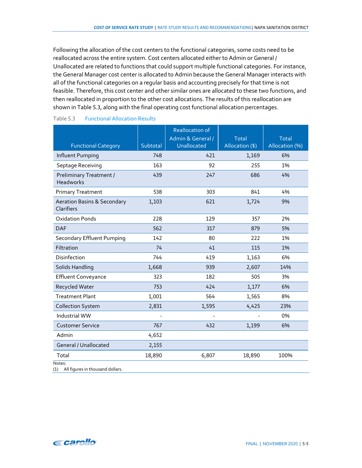Following the allocation of the cost centers to the functional categories, some costs need to be reallocated across the entire system. Cost centers allocated either to Admin or General / Unallocated are related to functions that could support multiple functional categories. For instance, the General Manager cost center is allocated to Admin because the General Manager interacts with all of the functional categories on a regular basis and accounting precisely for that time is not feasible. Therefore, this cost center and other similar ones are allocated to these two functions, and then reallocated in proportion to the other cost allocations. The results of this reallocation are shown in Table 5.3, along with the final operating cost functional allocation percentages.

| <b>Functional Category</b>                           | Subtotal | <b>Reallocation of</b><br>Admin & General /<br>Unallocated | <b>Total</b><br>Allocation (\$) | <b>Total</b><br>Allocation (%) |
|------------------------------------------------------|----------|------------------------------------------------------------|---------------------------------|--------------------------------|
| Influent Pumping                                     | 748      | 421                                                        | 1,169                           | 6%                             |
| Septage Receiving                                    | 163      | 92                                                         | 255                             | 1%                             |
| <b>Preliminary Treatment /</b><br><b>Headworks</b>   | 439      | 247                                                        | 686                             | 4%                             |
| <b>Primary Treatment</b>                             | 538      | 303                                                        | 841                             | 4%                             |
| <b>Aeration Basins &amp; Secondary</b><br>Clarifiers | 1,103    | 621                                                        | 1,724                           | 9%                             |
| <b>Oxidation Ponds</b>                               | 228      | 129                                                        | 357                             | 2%                             |
| <b>DAF</b>                                           | 562      | 317                                                        | 879                             | 5%                             |
| <b>Secondary Effluent Pumping</b>                    | 142      | 80                                                         | 222                             | 1%                             |
| Filtration                                           | 74       | 41                                                         | 115                             | 1%                             |
| Disinfection                                         | 744      | 419                                                        | 1,163                           | 6%                             |
| <b>Solids Handling</b>                               | 1,668    | 939                                                        | 2,607                           | 14%                            |
| <b>Effluent Conveyance</b>                           | 323      | 182                                                        | 505                             | 3%                             |
| Recycled Water                                       | 753      | 424                                                        | 1,177                           | 6%                             |
| <b>Treatment Plant</b>                               | 1,001    | 564                                                        | 1,565                           | 8%                             |
| <b>Collection System</b>                             | 2,831    | 1,595                                                      | 4,425                           | 23%                            |
| Industrial WW                                        |          |                                                            |                                 | 0%                             |
| <b>Customer Service</b>                              | 767      | 432                                                        | 1,199                           | 6%                             |
| Admin                                                | 4,652    |                                                            |                                 |                                |
| General / Unallocated                                | 2,155    |                                                            |                                 |                                |
| Total                                                | 18,890   | 6,807                                                      | 18,890                          | 100%                           |
| Notes:<br>All Contract of the later                  |          |                                                            |                                 |                                |

#### <span id="page-27-0"></span>Table 5.3 Functional Allocation Results



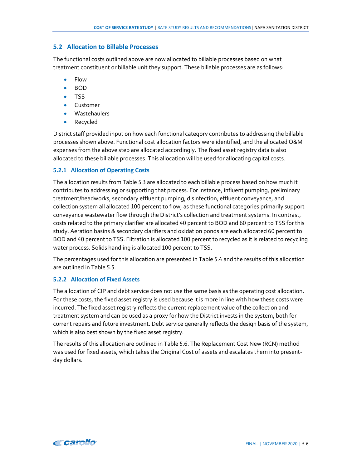# <span id="page-28-0"></span>**5.2 Allocation to Billable Processes**

The functional costs outlined above are now allocated to billable processes based on what treatment constituent or billable unit they support. These billable processes are as follows:

- Flow
- BOD
- TSS
- Customer
- Wastehaulers
- Recycled

District staff provided input on how each functional category contributes to addressing the billable processes shown above. Functional cost allocation factors were identified, and the allocated O&M expenses from the above step are allocated accordingly. The fixed asset registry data is also allocated to these billable processes. This allocation will be used for allocating capital costs.

# <span id="page-28-1"></span>**5.2.1 Allocation of Operating Costs**

The allocation results from Table 5.3 are allocated to each billable process based on how much it contributes to addressing or supporting that process. For instance, influent pumping, preliminary treatment/headworks, secondary effluent pumping, disinfection, effluent conveyance, and collection system all allocated 100 percent to flow, as these functional categories primarily support conveyance wastewater flow through the District's collection and treatment systems. In contrast, costs related to the primary clarifier are allocated 40 percent to BOD and 60 percent to TSS for this study. Aeration basins & secondary clarifiers and oxidation ponds are each allocated 60 percent to BOD and 40 percent to TSS. Filtration is allocated 100 percent to recycled as it is related to recycling water process. Solids handling is allocated 100 percent to TSS.

The percentages used for this allocation are presented in Table 5.4 and the results of this allocation are outlined in Table 5.5.

# <span id="page-28-2"></span>**5.2.2 Allocation of Fixed Assets**

The allocation of CIP and debt service does not use the same basis as the operating cost allocation. For these costs, the fixed asset registry is used because it is more in line with how these costs were incurred. The fixed asset registry reflects the current replacement value of the collection and treatment system and can be used as a proxy for how the District invests in the system, both for current repairs and future investment. Debt service generally reflects the design basis of the system, which is also best shown by the fixed asset registry.

The results of this allocation are outlined in [Table 5.6.](#page-31-1) The Replacement Cost New (RCN) method was used for fixed assets, which takes the Original Cost of assets and escalates them into presentday dollars.

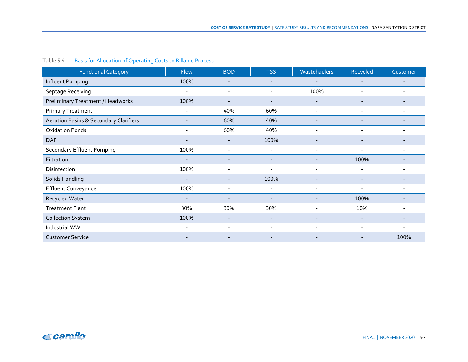# Table 5.4 Basis for Allocation of Operating Costs to Billable Process

<span id="page-29-0"></span>

| <b>Functional Category</b>                        | <b>Flow</b> | <b>BOD</b>               | <b>TSS</b>               | Wastehaulers             | Recycled                     | Customer                 |
|---------------------------------------------------|-------------|--------------------------|--------------------------|--------------------------|------------------------------|--------------------------|
| Influent Pumping                                  | 100%        |                          | $\overline{\phantom{a}}$ |                          | $\overline{\phantom{a}}$     |                          |
| Septage Receiving                                 |             |                          | $\overline{\phantom{a}}$ | 100%                     |                              |                          |
| Preliminary Treatment / Headworks                 | 100%        |                          |                          |                          |                              |                          |
| <b>Primary Treatment</b>                          |             | 40%                      | 60%                      |                          |                              |                          |
| <b>Aeration Basins &amp; Secondary Clarifiers</b> |             | 60%                      | 40%                      | $\overline{\phantom{a}}$ | $\qquad \qquad \blacksquare$ |                          |
| <b>Oxidation Ponds</b>                            |             | 60%                      | 40%                      |                          |                              |                          |
| <b>DAF</b>                                        |             |                          | 100%                     |                          |                              |                          |
| <b>Secondary Effluent Pumping</b>                 | 100%        |                          |                          |                          |                              |                          |
| Filtration                                        |             |                          |                          |                          | 100%                         |                          |
| Disinfection                                      | 100%        |                          |                          | $\sim$                   | $\overline{a}$               |                          |
| <b>Solids Handling</b>                            |             |                          | 100%                     |                          | $\overline{\phantom{a}}$     |                          |
| <b>Effluent Conveyance</b>                        | 100%        |                          | $\blacksquare$           | $\overline{\phantom{a}}$ | ٠                            | $\overline{\phantom{0}}$ |
| Recycled Water                                    |             |                          | $\overline{\phantom{a}}$ | $\overline{\phantom{a}}$ | 100%                         |                          |
| <b>Treatment Plant</b>                            | 30%         | 30%                      | 30%                      | $\overline{\phantom{a}}$ | 10%                          | $\overline{\phantom{a}}$ |
| <b>Collection System</b>                          | 100%        | $\overline{\phantom{a}}$ | $\overline{\phantom{a}}$ | $\overline{\phantom{a}}$ | $\overline{\phantom{a}}$     | $\overline{\phantom{a}}$ |
| Industrial WW                                     | $\sim$      | $\overline{\phantom{0}}$ | $\overline{\phantom{a}}$ | $\overline{\phantom{a}}$ | $\blacksquare$               | $\overline{\phantom{0}}$ |
| <b>Customer Service</b>                           |             | $\overline{\phantom{a}}$ | $\overline{\phantom{a}}$ |                          | $\overline{\phantom{a}}$     | 100%                     |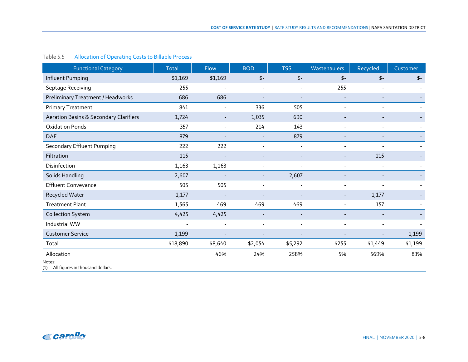# Table 5.5 Allocation of Operating Costs to Billable Process

<span id="page-30-0"></span>

| <b>Functional Category</b>                        | <b>Total</b> | Flow           | <b>BOD</b>     | <b>TSS</b>               | Wastehaulers             | Recycled                 | Customer |
|---------------------------------------------------|--------------|----------------|----------------|--------------------------|--------------------------|--------------------------|----------|
| Influent Pumping                                  | \$1,169      | \$1,169        | $$-$           | $$-$                     | $$-$                     | $$-$                     | \$-      |
| Septage Receiving                                 | 255          |                |                | $\overline{\phantom{a}}$ | 255                      | $\overline{\phantom{a}}$ |          |
| <b>Preliminary Treatment / Headworks</b>          | 686          | 686            |                |                          |                          |                          |          |
| <b>Primary Treatment</b>                          | 841          | $\blacksquare$ | 336            | 505                      | $\overline{\phantom{a}}$ | $\blacksquare$           |          |
| <b>Aeration Basins &amp; Secondary Clarifiers</b> | 1,724        |                | 1,035          | 690                      |                          |                          |          |
| <b>Oxidation Ponds</b>                            | 357          |                | 214            | 143                      |                          |                          |          |
| <b>DAF</b>                                        | 879          |                |                | 879                      |                          |                          |          |
| <b>Secondary Effluent Pumping</b>                 | 222          | 222            | $\sim$         | $\blacksquare$           | $\blacksquare$           |                          |          |
| Filtration                                        | 115          |                |                |                          |                          | 115                      |          |
| Disinfection                                      | 1,163        | 1,163          |                |                          |                          |                          |          |
| Solids Handling                                   | 2,607        |                |                | 2,607                    |                          |                          |          |
| <b>Effluent Conveyance</b>                        | 505          | 505            | $\overline{a}$ | $\overline{\phantom{a}}$ | $\blacksquare$           | $\overline{\phantom{a}}$ |          |
| Recycled Water                                    | 1,177        |                |                |                          |                          | 1,177                    |          |
| <b>Treatment Plant</b>                            | 1,565        | 469            | 469            | 469                      |                          | 157                      |          |
| <b>Collection System</b>                          | 4,425        | 4,425          |                |                          |                          |                          |          |
| Industrial WW                                     |              | $\overline{a}$ | $\overline{a}$ | $\overline{\phantom{a}}$ |                          | $\overline{a}$           |          |
| <b>Customer Service</b>                           | 1,199        |                |                |                          |                          |                          | 1,199    |
| Total                                             | \$18,890     | \$8,640        | \$2,054        | \$5,292                  | \$255                    | \$1,449                  | \$1,199  |
| Allocation                                        |              | 46%            | 24%            | 258%                     | 5%                       | 569%                     | 83%      |
| Notes:<br>All figures in thousand dollars.<br>(1) |              |                |                |                          |                          |                          |          |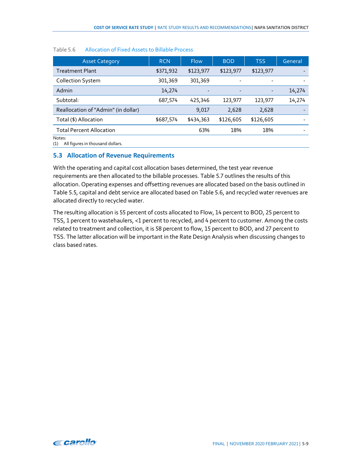| <b>Asset Category</b>               | <b>RCN</b> | <b>Flow</b> | <b>BOD</b> | <b>TSS</b> | General |
|-------------------------------------|------------|-------------|------------|------------|---------|
| <b>Treatment Plant</b>              | \$371,932  | \$123,977   | \$123,977  | \$123,977  |         |
| <b>Collection System</b>            | 301,369    | 301,369     |            |            |         |
| Admin                               | 14,274     | -           |            | -          | 14,274  |
| Subtotal:                           | 687,574    | 425,346     | 123,977    | 123,977    | 14,274  |
| Reallocation of "Admin" (in dollar) |            | 9,017       | 2,628      | 2,628      |         |
| Total (\$) Allocation               | \$687,574  | \$434,363   | \$126,605  | \$126,605  |         |
| <b>Total Percent Allocation</b>     |            | 63%         | 18%        | 18%        |         |
| Notes:                              |            |             |            |            |         |

#### <span id="page-31-1"></span>Table 5.6 Allocation of Fixed Assets to Billable Process

(1) All figures in thousand dollars.

#### <span id="page-31-0"></span>**5.3 Allocation of Revenue Requirements**

With the operating and capital cost allocation bases determined, the test year revenue requirements are then allocated to the billable processes. Table 5.7 outlines the results of this allocation. Operating expenses and offsetting revenues are allocated based on the basis outlined in Table 5.5, capital and debt service are allocated based on Table 5.6, and recycled water revenues are allocated directly to recycled water.

The resulting allocation is 55 percent of costs allocated to Flow, 14 percent to BOD, 25 percent to TSS, 1 percent to wastehaulers, <1 percent to recycled, and 4 percent to customer. Among the costs related to treatment and collection, it is 58 percent to flow, 15 percent to BOD, and 27 percent to TSS. The latter allocation will be important in the Rate Design Analysis when discussing changes to class based rates.

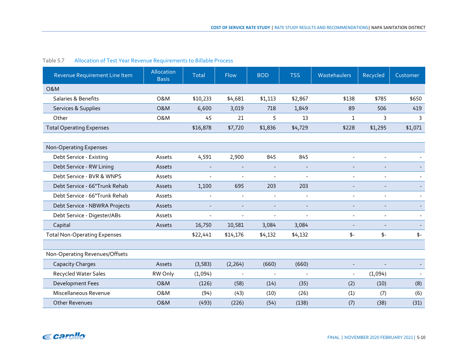<span id="page-32-0"></span>

| Revenue Requirement Line Item       | <b>Allocation</b><br><b>Basis</b> | <b>Total</b> | Flow           | <b>BOD</b>               | <b>TSS</b>               | Wastehaulers   | Recycled       | Customer |
|-------------------------------------|-----------------------------------|--------------|----------------|--------------------------|--------------------------|----------------|----------------|----------|
| <b>O&amp;M</b>                      |                                   |              |                |                          |                          |                |                |          |
| Salaries & Benefits                 | <b>O&amp;M</b>                    | \$10,233     | \$4,681        | \$1,113                  | \$2,867                  | \$138          | \$785          | \$650    |
| Services & Supplies                 | <b>O&amp;M</b>                    | 6,600        | 3,019          | 718                      | 1,849                    | 89             | 506            | 419      |
| Other                               | <b>O&amp;M</b>                    | 45           | 21             | 5                        | 13                       | $\mathbf{1}$   | 3              | 3        |
| <b>Total Operating Expenses</b>     |                                   | \$16,878     | \$7,720        | \$1,836                  | \$4,729                  | \$228          | \$1,295        | \$1,071  |
|                                     |                                   |              |                |                          |                          |                |                |          |
| Non-Operating Expenses              |                                   |              |                |                          |                          |                |                |          |
| Debt Service - Existing             | Assets                            | 4,591        | 2,900          | 845                      | 845                      |                | ÷.             |          |
| Debt Service - RW Lining            | Assets                            |              |                |                          |                          |                |                |          |
| Debt Service - BVR & WNPS           | Assets                            | $\sim$       | $\overline{a}$ | $\overline{a}$           | $\overline{a}$           |                | ÷              |          |
| Debt Service - 66"Trunk Rehab       | Assets                            | 1,100        | 695            | 203                      | 203                      |                | ٠              |          |
| Debt Service - 66"Trunk Rehab       | Assets                            |              | $\sim$         | $\overline{a}$           | $\overline{a}$           |                | ÷              |          |
| Debt Service - NBWRA Projects       | Assets                            |              | $\blacksquare$ | $\blacksquare$           | $\overline{\phantom{a}}$ |                | ÷,             |          |
| Debt Service - Digester/ABs         | Assets                            | $\sim$       | $\sim$         | $\overline{a}$           | $\sim$                   | $\blacksquare$ | $\overline{a}$ |          |
| Capital                             | Assets                            | 16,750       | 10,581         | 3,084                    | 3,084                    |                |                |          |
| <b>Total Non-Operating Expenses</b> |                                   | \$22,441     | \$14,176       | \$4,132                  | \$4,132                  | \$-            | $$-$           | $$-$     |
|                                     |                                   |              |                |                          |                          |                |                |          |
| Non-Operating Revenues/Offsets      |                                   |              |                |                          |                          |                |                |          |
| <b>Capacity Charges</b>             | Assets                            | (3, 583)     | (2, 264)       | (660)                    | (660)                    |                | $\blacksquare$ |          |
| Recycled Water Sales                | RW Only                           | (1,094)      | $\sim$         | $\overline{\phantom{a}}$ | $\overline{\phantom{a}}$ | $\blacksquare$ | (1,094)        |          |
| <b>Development Fees</b>             | <b>O&amp;M</b>                    | (126)        | (58)           | (14)                     | (35)                     | (2)            | (10)           | (8)      |
| Miscellaneous Revenue               | <b>O&amp;M</b>                    | (94)         | (43)           | (10)                     | (26)                     | (1)            | (7)            | (6)      |
| <b>Other Revenues</b>               | <b>O&amp;M</b>                    | (493)        | (226)          | (54)                     | (138)                    | (7)            | (38)           | (31)     |

| Table 5.7<br>Allocation of Test Year Revenue Requirements to Billable Process |
|-------------------------------------------------------------------------------|
|-------------------------------------------------------------------------------|

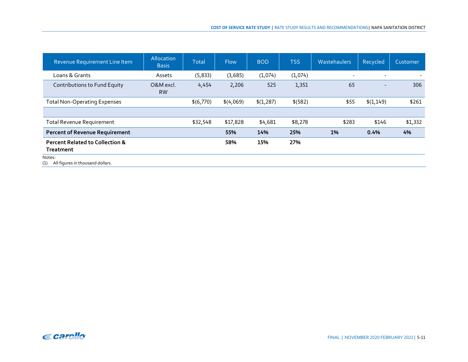| Revenue Requirement Line Item                                  | Allocation<br><b>Basis</b> | <b>Total</b> | <b>Flow</b> | <b>BOD</b> | <b>TSS</b> | <b>Wastehaulers</b> | Recycled  | Customer |
|----------------------------------------------------------------|----------------------------|--------------|-------------|------------|------------|---------------------|-----------|----------|
| Loans & Grants                                                 | Assets                     | (5, 833)     | (3,685)     | (1,074)    | (1,074)    |                     |           |          |
| Contributions to Fund Equity                                   | O&M excl.<br><b>RW</b>     | 4,454        | 2,206       | 525        | 1,351      | 65                  | $\sim$    | 306      |
| <b>Total Non-Operating Expenses</b>                            |                            | \$(6,770)    | \$(4,069)   | \$(1, 287) | \$ (582)   | \$55                | \$(1,149) | \$261    |
|                                                                |                            |              |             |            |            |                     |           |          |
| <b>Total Revenue Requirement</b>                               |                            | \$32,548     | \$17,828    | \$4,681    | \$8,278    | \$283               | \$146     | \$1,332  |
| <b>Percent of Revenue Requirement</b>                          |                            |              | 55%         | 14%        | 25%        | 1%                  | 0.4%      | 4%       |
| <b>Percent Related to Collection &amp;</b><br><b>Treatment</b> |                            |              | 58%         | 15%        | 27%        |                     |           |          |
| Notes:<br>All figures in thousand dollars.<br>(1)              |                            |              |             |            |            |                     |           |          |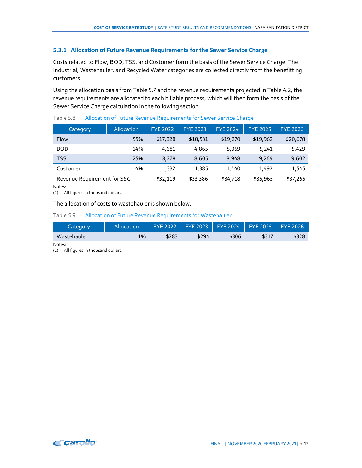### <span id="page-34-0"></span>**5.3.1 Allocation of Future Revenue Requirements for the Sewer Service Charge**

Costs related to Flow, BOD, TSS, and Customer form the basis of the Sewer Service Charge. The Industrial, Wastehauler, and Recycled Water categories are collected directly from the benefitting customers.

Using the allocation basis from Table 5.7 and the revenue requirements projected in Table 4.2, the revenue requirements are allocated to each billable process, which will then form the basis of the Sewer Service Charge calculation in the following section.

| Category                    | Allocation | <b>FYE 2022</b> | <b>FYE 2023</b> | <b>FYE 2024</b> | <b>FYE 2025</b> | <b>FYE 2026</b> |
|-----------------------------|------------|-----------------|-----------------|-----------------|-----------------|-----------------|
| <b>Flow</b>                 | 55%        | \$17,828        | \$18,531        | \$19,270        | \$19,962        | \$20,678        |
| <b>BOD</b>                  | 14%        | 4,681           | 4,865           | 5,059           | 5,241           | 5,429           |
| <b>TSS</b>                  | 25%        | 8,278           | 8,605           | 8,948           | 9,269           | 9,602           |
| Customer                    | 4%         | 1,332           | 1,385           | 1,440           | 1,492           | 1,545           |
| Revenue Requirement for SSC |            | \$32,119        | \$33,386        | \$34,718        | \$35,965        | \$37,255        |

#### <span id="page-34-1"></span>Table 5.8 Allocation of Future Revenue Requirements for Sewer Service Charge

Notes:

(1) All figures in thousand dollars.

The allocation of costs to wastehauler is shown below.

#### <span id="page-34-2"></span>Table 5.9 Allocation of Future Revenue Requirements for Wastehauler

| Category    | Allocation |       |       |       | FYE 2022   FYE 2023   FYE 2024   FYE 2025   FYE 2026 |       |
|-------------|------------|-------|-------|-------|------------------------------------------------------|-------|
| Wastehauler | 1%         | \$283 | \$294 | \$306 | \$317                                                | \$328 |
| Notes:      |            |       |       |       |                                                      |       |

(1) All figures in thousand dollars.

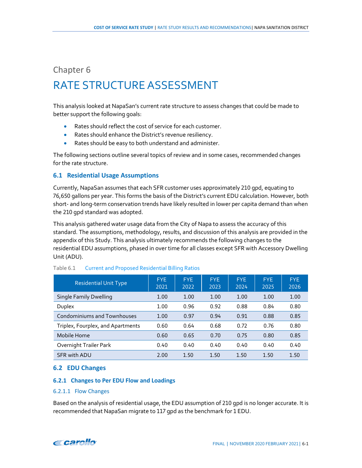# <span id="page-35-1"></span><span id="page-35-0"></span>Chapter 6 RATE STRUCTURE ASSESSMENT

This analysis looked at NapaSan's current rate structure to assess changes that could be made to better support the following goals:

- Rates should reflect the cost of service for each customer.
- Rates should enhance the District's revenue resiliency.
- Rates should be easy to both understand and administer.

The following sections outline several topics of review and in some cases, recommended changes for the rate structure.

# <span id="page-35-2"></span>**6.1 Residential Usage Assumptions**

Currently, NapaSan assumes that each SFR customer uses approximately 210 gpd, equating to 76,650 gallons per year. This forms the basis of the District's current EDU calculation. However, both short- and long-term conservation trends have likely resulted in lower per capita demand than when the 210 gpd standard was adopted.

This analysis gathered water usage data from the City of Napa to assess the accuracy of this standard. The assumptions, methodology, results, and discussion of this analysis are provided in the appendix of this Study. This analysis ultimately recommends the following changes to the residential EDU assumptions, phased in over time for all classes except SFR with Accessory Dwelling Unit (ADU).

| <b>Residential Unit Type</b>      | <b>FYE</b><br>2021 | <b>FYE</b><br>2022 | <b>FYE</b><br>2023 | <b>FYE</b><br>2024 | <b>FYE</b><br>2025 | <b>FYE</b><br>2026 |
|-----------------------------------|--------------------|--------------------|--------------------|--------------------|--------------------|--------------------|
| Single Family Dwelling            | 1.00               | 1.00               | 1.00               | 1.00               | 1.00               | 1.00               |
| <b>Duplex</b>                     | 1.00               | 0.96               | 0.92               | 0.88               | 0.84               | 0.80               |
| Condominiums and Townhouses       | 1.00               | 0.97               | 0.94               | 0.91               | 0.88               | 0.85               |
| Triplex, Fourplex, and Apartments | 0.60               | 0.64               | 0.68               | 0.72               | 0.76               | 0.80               |
| Mobile Home                       | 0.60               | 0.65               | 0.70               | 0.75               | 0.80               | 0.85               |
| Overnight Trailer Park            | 0.40               | 0.40               | 0.40               | 0.40               | 0.40               | 0.40               |
| SFR with ADU                      | 2.00               | 1.50               | 1.50               | 1.50               | 1.50               | 1.50               |

#### <span id="page-35-5"></span>Table 6.1 Current and Proposed Residential Billing Ratios

#### <span id="page-35-3"></span>**6.2 EDU Changes**

#### <span id="page-35-4"></span>**6.2.1 Changes to Per EDU Flow and Loadings**

#### 6.2.1.1 Flow Changes

Based on the analysis of residential usage, the EDU assumption of 210 gpd is no longer accurate. It is recommended that NapaSan migrate to 117 gpd as the benchmark for 1 EDU.

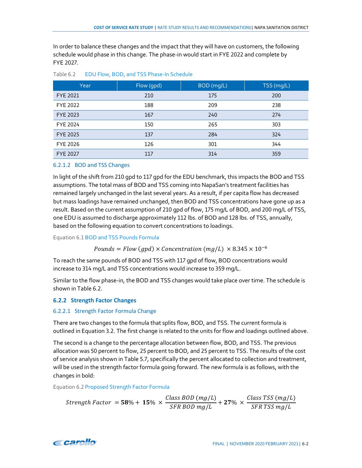In order to balance these changes and the impact that they will have on customers, the following schedule would phase in this change. The phase-in would start in FYE 2022 and complete by FYE 2027.

| Year            | Flow (gpd) | BOD (mg/L) | TSS (mg/L) |
|-----------------|------------|------------|------------|
| <b>FYE 2021</b> | 210        | 175        | 200        |
| FYE 2022        | 188        | 209        | 238        |
| <b>FYE 2023</b> | 167        | 240        | 274        |
| <b>FYE 2024</b> | 150        | 265        | 303        |
| <b>FYE 2025</b> | 137        | 284        | 324        |
| FYE 2026        | 126        | 301        | 344        |
| <b>FYE 2027</b> | 117        | 314        | 359        |

#### <span id="page-36-1"></span>Table 6.2 EDU Flow, BOD, and TSS Phase-In Schedule

#### 6.2.1.2 BOD and TSS Changes

In light of the shift from 210 gpd to 117 gpd for the EDU benchmark, this impacts the BOD and TSS assumptions. The total mass of BOD and TSS coming into NapaSan's treatment facilities has remained largely unchanged in the last several years. As a result, if per capita flow has decreased but mass loadings have remained unchanged, then BOD and TSS concentrations have gone up as a result. Based on the current assumption of 210 gpd of flow, 175 mg/L of BOD, and 200 mg/L of TSS, one EDU is assumed to discharge approximately 112 lbs. of BOD and 128 lbs. of TSS, annually, based on the following equation to convert concentrations to loadings.

Equation 6.1 BOD and TSS Pounds Formula

Pounds =  $Flow (gpd) \times Concentration (mg/L) \times 8.345 \times 10^{-6}$ 

To reach the same pounds of BOD and TSS with 117 gpd of flow, BOD concentrations would increase to 314 mg/L and TSS concentrations would increase to 359 mg/L.

Similar to the flow phase-in, the BOD and TSS changes would take place over time. The schedule is shown in Table 6.2.

#### <span id="page-36-0"></span>**6.2.2 Strength Factor Changes**

#### 6.2.2.1 Strength Factor Formula Change

There are two changes to the formula that splits flow, BOD, and TSS. The current formula is outlined in Equation 3.2. The first change is related to the units for flow and loadings outlined above.

The second is a change to the percentage allocation between flow, BOD, and TSS. The previous allocation was 50 percent to flow, 25 percent to BOD, and 25 percent to TSS. The results of the cost of service analysis shown in Table 5.7, specifically the percent allocated to collection and treatment, will be used in the strength factor formula going forward. The new formula is as follows, with the changes in bold:

Equation 6.2 Proposed Strength Factor Formula

$$
Strength Factor = 58\% + 15\% \times \frac{Class\,BOD\,(mg/L)}{SFR\,BOD\,mg/L} + 27\% \times \frac{Class\,TSS\,(mg/L)}{SFR\,TSS\,mg/L}
$$

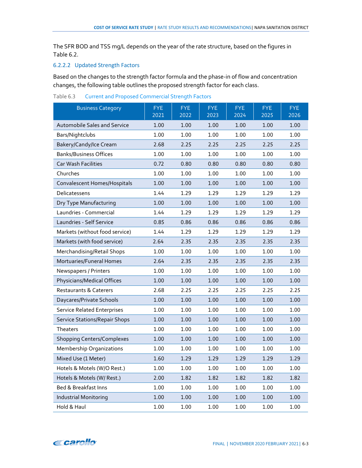The SFR BOD and TSS mg/L depends on the year of the rate structure, based on the figures in Table 6.2.

# 6.2.2.2 Updated Strength Factors

Based on the changes to the strength factor formula and the phase-in of flow and concentration changes, the following table outlines the proposed strength factor for each class.

<span id="page-37-0"></span>Table 6.3 Current and Proposed Commercial Strength Factors

| <b>Business Category</b>            | <b>FYE</b><br>2021 | <b>FYE</b><br>2022 | <b>FYE</b><br>2023 | <b>FYE</b><br>2024 | <b>FYE</b><br>2025 | <b>FYE</b><br>2026 |
|-------------------------------------|--------------------|--------------------|--------------------|--------------------|--------------------|--------------------|
| <b>Automobile Sales and Service</b> | 1.00               | 1.00               | 1.00               | 1.00               | 1.00               | 1.00               |
| Bars/Nightclubs                     | 1.00               | 1.00               | 1.00               | 1.00               | 1.00               | 1.00               |
| Bakery/Candy/Ice Cream              | 2.68               | 2.25               | 2.25               | 2.25               | 2.25               | 2.25               |
| <b>Banks/Business Offices</b>       | 1.00               | 1.00               | 1.00               | 1.00               | 1.00               | 1.00               |
| <b>Car Wash Facilities</b>          | 0.72               | 0.80               | 0.80               | 0.80               | 0.80               | 0.80               |
| Churches                            | 1.00               | 1.00               | 1.00               | 1.00               | 1.00               | 1.00               |
| Convalescent Homes/Hospitals        | 1.00               | 1.00               | 1.00               | 1.00               | 1.00               | 1.00               |
| Delicatessens                       | 1.44               | 1.29               | 1.29               | 1.29               | 1.29               | 1.29               |
| Dry Type Manufacturing              | 1.00               | 1.00               | 1.00               | 1.00               | 1.00               | 1.00               |
| Laundries - Commercial              | 1.44               | 1.29               | 1.29               | 1.29               | 1.29               | 1.29               |
| Laundries - Self Service            | 0.85               | 0.86               | 0.86               | 0.86               | 0.86               | 0.86               |
| Markets (without food service)      | 1.44               | 1.29               | 1.29               | 1.29               | 1.29               | 1.29               |
| Markets (with food service)         | 2.64               | 2.35               | 2.35               | 2.35               | 2.35               | 2.35               |
| Merchandising/Retail Shops          | 1.00               | 1.00               | 1.00               | 1.00               | 1.00               | 1.00               |
| Mortuaries/Funeral Homes            | 2.64               | 2.35               | 2.35               | 2.35               | 2.35               | 2.35               |
| Newspapers / Printers               | 1.00               | 1.00               | 1.00               | 1.00               | 1.00               | 1.00               |
| Physicians/Medical Offices          | 1.00               | 1.00               | 1.00               | 1.00               | 1.00               | 1.00               |
| <b>Restaurants &amp; Caterers</b>   | 2.68               | 2.25               | 2.25               | 2.25               | 2.25               | 2.25               |
| Daycares/Private Schools            | 1.00               | 1.00               | 1.00               | 1.00               | 1.00               | 1.00               |
| <b>Service Related Enterprises</b>  | 1.00               | 1.00               | 1.00               | 1.00               | 1.00               | 1.00               |
| Service Stations/Repair Shops       | 1.00               | 1.00               | 1.00               | 1.00               | 1.00               | 1.00               |
| <b>Theaters</b>                     | 1.00               | 1.00               | 1.00               | 1.00               | 1.00               | 1.00               |
| <b>Shopping Centers/Complexes</b>   | 1.00               | 1.00               | 1.00               | 1.00               | 1.00               | 1.00               |
| Membership Organizations            | 1.00               | 1.00               | 1.00               | 1.00               | 1.00               | 1.00               |
| Mixed Use (1 Meter)                 | 1.60               | 1.29               | 1.29               | 1.29               | 1.29               | 1.29               |
| Hotels & Motels (W/O Rest.)         | 1.00               | 1.00               | 1.00               | 1.00               | 1.00               | 1.00               |
| Hotels & Motels (W/ Rest.)          | 2.00               | 1.82               | 1.82               | 1.82               | 1.82               | 1.82               |
| Bed & Breakfast Inns                | 1.00               | 1.00               | 1.00               | 1.00               | 1.00               | 1.00               |
| <b>Industrial Monitoring</b>        | 1.00               | 1.00               | 1.00               | 1.00               | 1.00               | 1.00               |
| Hold & Haul                         | 1.00               | 1.00               | 1.00               | 1.00               | 1.00               | 1.00               |

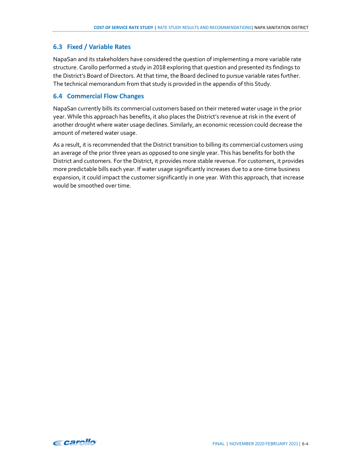# <span id="page-38-0"></span>**6.3 Fixed / Variable Rates**

NapaSan and its stakeholders have considered the question of implementing a more variable rate structure. Carollo performed a study in 2018 exploring that question and presented its findings to the District's Board of Directors. At that time, the Board declined to pursue variable rates further. The technical memorandum from that study is provided in the appendix of this Study.

# <span id="page-38-1"></span>**6.4 Commercial Flow Changes**

NapaSan currently bills its commercial customers based on their metered water usage in the prior year. While this approach has benefits, it also places the District's revenue at risk in the event of another drought where water usage declines. Similarly, an economic recession could decrease the amount of metered water usage.

As a result, it is recommended that the District transition to billing its commercial customers using an average of the prior three years as opposed to one single year. This has benefits for both the District and customers. For the District, it provides more stable revenue. For customers, it provides more predictable bills each year. If water usage significantly increases due to a one-time business expansion, it could impact the customer significantly in one year. With this approach, that increase would be smoothed over time.

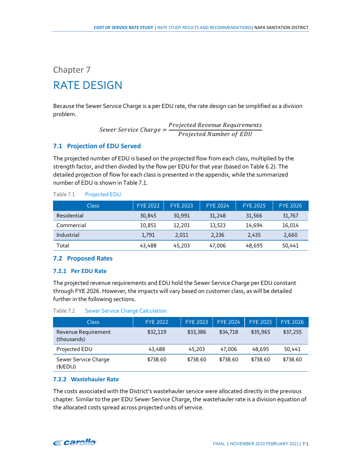# <span id="page-39-1"></span><span id="page-39-0"></span>Chapter 7 RATE DESIGN

Because the Sewer Service Charge is a per EDU rate, the rate design can be simplified as a division problem.

Sewer Service Charge =  $\frac{Projected\ Revenue\ Required\ Nequreme}{Projected\ Number\ of\ EDU}$ 

# <span id="page-39-2"></span>**7.1 Projection of EDU Served**

The projected number of EDU is based on the projected flow from each class, multiplied by the strength factor, and then divided by the flow per EDU for that year (based on Table 6.2). The detailed projection of flow for each class is presented in the appendix, while the summarized number of EDU is shown in Table 7.1.

<span id="page-39-6"></span>

| Class       | <b>FYE 2022</b> | <b>FYE 2023</b> | <b>FYE 2024</b> | <b>FYE 2025</b> | <b>FYE 2026</b> |
|-------------|-----------------|-----------------|-----------------|-----------------|-----------------|
| Residential | 30,845          | 30,991          | 31,248          | 31,566          | 31,767          |
| Commercial  | 10,851          | 12,201          | 13,523          | 14,694          | 16,014          |
| Industrial  | 1,791           | 2,011           | 2,236           | 2.435           | 2,660           |
| Total       | 43,488          | 45,203          | 47,006          | 48,695          | 50,441          |

# <span id="page-39-3"></span>**7.2 Proposed Rates**

#### <span id="page-39-4"></span>**7.2.1 Per EDU Rate**

The projected revenue requirements and EDU hold the Sewer Service Charge per EDU constant through FYE 2026. However, the impacts will vary based on customer class, as will be detailed further in the following sections.

<span id="page-39-7"></span>

| Class <sub>1</sub>                 | <b>FYE 2022</b> | <b>FYE 2023</b> | <b>FYE 2024</b> | <b>FYE 2025</b> | <b>FYE 2026</b> |
|------------------------------------|-----------------|-----------------|-----------------|-----------------|-----------------|
| Revenue Requirement<br>(thousands) | \$32,119        | \$33,386        | \$34,718        | \$35,965        | \$37,255        |
| Projected EDU                      | 43,488          | 45,203          | 47,006          | 48,695          | 50,441          |
| Sewer Service Charge<br>(\$/EDU)   | \$738.60        | \$738.60        | \$738.60        | \$738.60        | \$738.60        |

#### <span id="page-39-5"></span>**7.2.2 Wastehauler Rate**

The costs associated with the District's wastehauler service were allocated directly in the previous chapter. Similar to the per EDU Sewer Service Charge, the wastehauler rate is a division equation of the allocated costs spread across projected units of service.

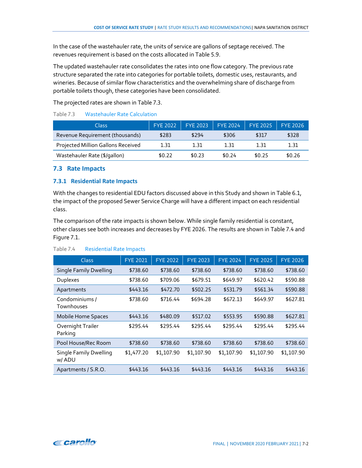In the case of the wastehauler rate, the units of service are gallons of septage received. The revenues requirement is based on the costs allocated i[n Table 5.9.](#page-34-2)

The updated wastehauler rate consolidates the rates into one flow category. The previous rate structure separated the rate into categories for portable toilets, domestic uses, restaurants, and wineries. Because of similar flow characteristics and the overwhelming share of discharge from portable toilets though, these categories have been consolidated.

The projected rates are shown in [Table 7.3.](#page-40-2)

#### <span id="page-40-2"></span>Table 7.3 Wastehauler Rate Calculation

| Class                              |        |        | FYE 2022   FYE 2023   FYE 2024   FYE 2025   FYE 2026 |        |        |
|------------------------------------|--------|--------|------------------------------------------------------|--------|--------|
| Revenue Requirement (thousands)    | \$283  | \$294  | \$306                                                | \$317  | \$328  |
| Projected Million Gallons Received | 1.31   | 131    | 1.31                                                 | 131    | 1.31   |
| Wastehauler Rate (\$/gallon)       | \$0.22 | \$0.23 | \$0.24                                               | \$0.25 | \$0.26 |

## <span id="page-40-0"></span>**7.3 Rate Impacts**

## <span id="page-40-1"></span>**7.3.1 Residential Rate Impacts**

With the changes to residential EDU factors discussed above in this Study and shown in Table 6.1, the impact of the proposed Sewer Service Charge will have a different impact on each residential class.

The comparison of the rate impacts is shown below. While single family residential is constant, other classes see both increases and decreases by FYE 2026. The results are shown in Table 7.4 and Figure 7.1.

#### <span id="page-40-3"></span>Table 7.4 Residential Rate Impacts

| <b>Class</b>                           | <b>FYE 2021</b> | <b>FYE 2022</b> | <b>FYE 2023</b> | <b>FYE 2024</b> | <b>FYE 2025</b> | <b>FYE 2026</b> |
|----------------------------------------|-----------------|-----------------|-----------------|-----------------|-----------------|-----------------|
| <b>Single Family Dwelling</b>          | \$738.60        | \$738.60        | \$738.60        | \$738.60        | \$738.60        | \$738.60        |
| <b>Duplexes</b>                        | \$738.60        | \$709.06        | \$679.51        | \$649.97        | \$620.42        | \$590.88        |
| Apartments                             | \$443.16        | \$472.70        | \$502.25        | \$531.79        | \$561.34        | \$590.88        |
| Condominiums /<br>Townhouses           | \$738.60        | \$716.44        | \$694.28        | \$672.13        | \$649.97        | \$627.81        |
| Mobile Home Spaces                     | \$443.16        | \$480.09        | \$517.02        | \$553.95        | \$590.88        | \$627.81        |
| Overnight Trailer<br>Parking           | \$295.44        | \$295.44        | \$295.44        | \$295.44        | \$295.44        | \$295.44        |
| Pool House/Rec Room                    | \$738.60        | \$738.60        | \$738.60        | \$738.60        | \$738.60        | \$738.60        |
| <b>Single Family Dwelling</b><br>w/ADU | \$1,477.20      | \$1,107.90      | \$1,107.90      | \$1,107.90      | \$1,107.90      | \$1,107.90      |
| Apartments / S.R.O.                    | \$443.16        | \$443.16        | \$443.16        | \$443.16        | \$443.16        | \$443.16        |

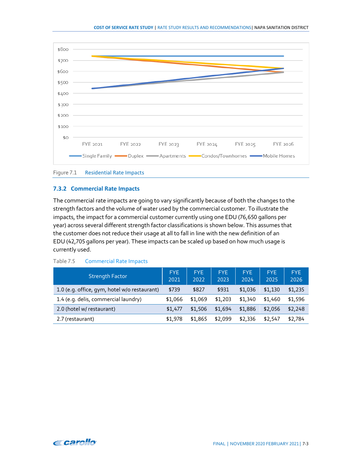

#### <span id="page-41-2"></span><span id="page-41-0"></span>**7.3.2 Commercial Rate Impacts**

The commercial rate impacts are going to vary significantly because of both the changes to the strength factors and the volume of water used by the commercial customer. To illustrate the impacts, the impact for a commercial customer currently using one EDU (76,650 gallons per year) across several different strength factor classifications is shown below. This assumes that the customer does not reduce their usage at all to fall in line with the new definition of an EDU (42,705 gallons per year). These impacts can be scaled up based on how much usage is currently used.

| <b>Strength Factor</b>                       | <b>FYE</b><br>2021 | <b>FYE</b><br>2022 | <b>FYE</b><br>2023 | <b>FYE</b><br>2024 | <b>FYE</b><br>2025 | <b>FYE</b><br>2026 |
|----------------------------------------------|--------------------|--------------------|--------------------|--------------------|--------------------|--------------------|
| 1.0 (e.g. office, gym, hotel w/o restaurant) | \$739              | \$827              | \$931              | \$1,036            | \$1,130            | \$1,235            |
| 1.4 (e.g. delis, commercial laundry)         | \$1,066            | \$1,069            | \$1,203            | \$1,340            | \$1,460            | \$1,596            |
| 2.0 (hotel w/ restaurant)                    | \$1,477            | \$1,506            | \$1,694            | \$1,886            | \$2,056            | \$2,248            |
| 2.7 (restaurant)                             | \$1,978            | \$1,865            | \$2,099            | \$2,336            | \$2,547            | \$2,784            |

#### <span id="page-41-1"></span>Table 7.5 Commercial Rate Impacts

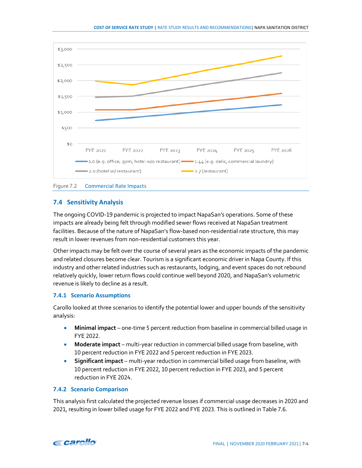

<span id="page-42-3"></span>![](_page_42_Figure_2.jpeg)

# <span id="page-42-0"></span>**7.4 Sensitivity Analysis**

The ongoing COVID-19 pandemic is projected to impact NapaSan's operations. Some of these impacts are already being felt through modified sewer flows received at NapaSan treatment facilities. Because of the nature of NapaSan's flow-based non-residential rate structure, this may result in lower revenues from non-residential customers this year.

Other impacts may be felt over the course of several years as the economic impacts of the pandemic and related closures become clear. Tourism is a significant economic driver in Napa County. If this industry and other related industries such as restaurants, lodging, and event spaces do not rebound relatively quickly, lower return flows could continue well beyond 2020, and NapaSan's volumetric revenue is likely to decline as a result.

# <span id="page-42-1"></span>**7.4.1 Scenario Assumptions**

Carollo looked at three scenarios to identify the potential lower and upper bounds of the sensitivity analysis:

- **Minimal impact**  one-time 5 percent reduction from baseline in commercial billed usage in FYE 2022.
- **Moderate impact** multi-year reduction in commercial billed usage from baseline, with 10 percent reduction in FYE 2022 and 5 percent reduction in FYE 2023.
- **Significant impact**  multi-year reduction in commercial billed usage from baseline, with 10 percent reduction in FYE 2022, 10 percent reduction in FYE 2023, and 5 percent reduction in FYE 2024.

#### <span id="page-42-2"></span>**7.4.2 Scenario Comparison**

This analysis first calculated the projected revenue losses if commercial usage decreases in 2020 and 2021, resulting in lower billed usage for FYE 2022 and FYE 2023. This is outlined in [Table 7.6.](#page-43-0)

![](_page_42_Picture_13.jpeg)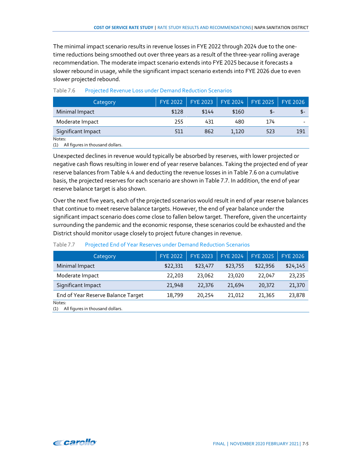The minimal impact scenario results in revenue losses in FYE 2022 through 2024 due to the onetime reductions being smoothed out over three years as a result of the three-year rolling average recommendation. The moderate impact scenario extends into FYE 2025 because it forecasts a slower rebound in usage, while the significant impact scenario extends into FYE 2026 due to even slower projected rebound.

| Category                                          | FYE 2022 | FYE 2023 | FYE 2024 | FYE 2025   FYE 2026 |     |
|---------------------------------------------------|----------|----------|----------|---------------------|-----|
| Minimal Impact                                    | \$128    | \$144    | \$160    | \$-                 | \$- |
| Moderate Impact                                   | 255      | 431      | 480      | 174                 |     |
| Significant Impact                                | 511      | 862      | 1,120    | 523                 | 191 |
| Notes:<br>All figures in thousand dollars.<br>(1) |          |          |          |                     |     |

#### <span id="page-43-0"></span>Table 7.6 Projected Revenue Loss under Demand Reduction Scenarios

Unexpected declines in revenue would typically be absorbed by reserves, with lower projected or negative cash flows resulting in lower end of year reserve balances. Taking the projected end of year reserve balances fro[m Table 4.4](#page-22-1) and deducting the revenue losses in i[n Table 7.6](#page-43-0) on a cumulative basis, the projected reserves for each scenario are shown i[n Table 7.7.](#page-43-1) In addition, the end of year reserve balance target is also shown.

Over the next five years, each of the projected scenarios would result in end of year reserve balances that continue to meet reserve balance targets. However, the end of year balance under the significant impact scenario does come close to fallen below target. Therefore, given the uncertainty surrounding the pandemic and the economic response, these scenarios could be exhausted and the District should monitor usage closely to project future changes in revenue.

| Category                           | <b>FYE 2022</b> | <b>FYE 2023</b> | <b>FYE 2024</b> | <b>FYE 2025</b> | <b>FYE 2026</b> |
|------------------------------------|-----------------|-----------------|-----------------|-----------------|-----------------|
| Minimal Impact                     | \$22,331        | \$23,477        | \$23,755        | \$22,956        | \$24,145        |
| Moderate Impact                    | 22,203          | 23,062          | 23,020          | 22,047          | 23,235          |
| Significant Impact                 | 21,948          | 22,376          | 21,694          | 20,372          | 21,370          |
| End of Year Reserve Balance Target | 18,799          | 20,254          | 21,012          | 21,365          | 23,878          |
| Notes:                             |                 |                 |                 |                 |                 |

#### <span id="page-43-1"></span>Table 7.7 Projected End of Year Reserves under Demand Reduction Scenarios

(1) All figures in thousand dollars.

![](_page_43_Picture_9.jpeg)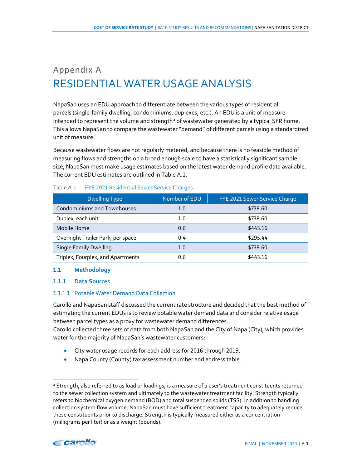# Appendix A RESIDENTIAL WATER USAGE ANALYSIS

NapaSan uses an EDU approach to differentiate between the various types of residential parcels (single-family dwelling, condominiums, duplexes, etc.). An EDU is a unit of measure intended to represent the volume and strength<sup>[2](#page-44-0)</sup> of wastewater generated by a typical SFR home. This allows NapaSan to compare the wastewater "demand" of different parcels using a standardized unit of measure.

Because wastewater flows are not regularly metered, and because there is no feasible method of measuring flows and strengths on a broad enough scale to have a statistically significant sample size, NapaSan must make usage estimates based on the latest water demand profile data available. The current EDU estimates are outlined in Table A.1.

| <b>Dwelling Type</b>               | Number of EDU | FYE 2021 Sewer Service Charge |
|------------------------------------|---------------|-------------------------------|
| <b>Condominiums and Townhouses</b> | 1.0           | \$738.60                      |
| Duplex, each unit                  | 1.0           | \$738.60                      |
| Mobile Home                        | 0.6           | \$443.16                      |
| Overnight Trailer Park, per space  | 0.4           | \$295.44                      |
| <b>Single Family Dwelling</b>      | 1.0           | \$738.60                      |
| Triplex, Fourplex, and Apartments  | 0.6           | \$443.16                      |

#### Table A.1 FYE 2021 Residential Sewer Service Charges

#### **1.1 Methodology**

## **1.1.1 Data Sources**

# 1.1.1.1 Potable Water Demand Data Collection

Carollo and NapaSan staff discussed the current rate structure and decided that the best method of estimating the current EDUs is to review potable water demand data and consider relative usage between parcel types as a proxy for wastewater demand differences.

Carollo collected three sets of data from both NapaSan and the City of Napa (City), which provides water for the majority of NapaSan's wastewater customers:

- City water usage records for each address for 2016 through 2019.
- Napa County (County) tax assessment number and address table.

<span id="page-44-0"></span><sup>&</sup>lt;sup>2</sup> Strength, also referred to as load or loadings, is a measure of a user's treatment constituents returned to the sewer collection system and ultimately to the wastewater treatment facility. Strength typically refers to biochemical oxygen demand (BOD) and total suspended solids (TSS). In addition to handling collection system flow volume, NapaSan must have sufficient treatment capacity to adequately reduce these constituents prior to discharge. Strength is typically measured either as a concentration (milligrams per liter) or as a weight (pounds).

![](_page_44_Picture_14.jpeg)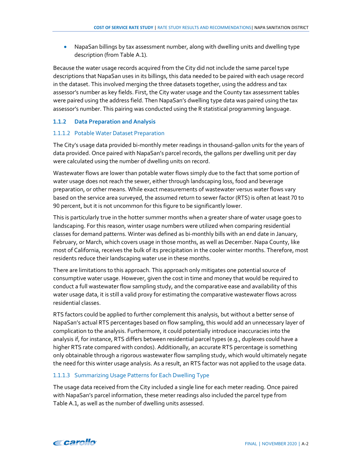• NapaSan billings by tax assessment number, along with dwelling units and dwelling type description (from Table A.1).

Because the water usage records acquired from the City did not include the same parcel type descriptions that NapaSan uses in its billings, this data needed to be paired with each usage record in the dataset. This involved merging the three datasets together, using the address and tax assessor's number as key fields. First, the City water usage and the County tax assessment tables were paired using the address field. Then NapaSan's dwelling type data was paired using the tax assessor's number. This pairing was conducted using the R statistical programming language.

# **1.1.2 Data Preparation and Analysis**

# 1.1.1.2 Potable Water Dataset Preparation

The City's usage data provided bi-monthly meter readings in thousand-gallon units for the years of data provided. Once paired with NapaSan's parcel records, the gallons per dwelling unit per day were calculated using the number of dwelling units on record.

Wastewater flows are lower than potable water flows simply due to the fact that some portion of water usage does not reach the sewer, either through landscaping loss, food and beverage preparation, or other means. While exact measurements of wastewater versus water flows vary based on the service area surveyed, the assumed return to sewer factor (RTS) is often at least 70 to 90 percent, but it is not uncommon for this figure to be significantly lower.

This is particularly true in the hotter summer months when a greater share of water usage goes to landscaping. For this reason, winter usage numbers were utilized when comparing residential classes for demand patterns. Winter was defined as bi-monthly bills with an end date in January, February, or March, which covers usage in those months, as well as December. Napa County, like most of California, receives the bulk of its precipitation in the cooler winter months. Therefore, most residents reduce their landscaping water use in these months.

There are limitations to this approach. This approach only mitigates one potential source of consumptive water usage. However, given the cost in time and money that would be required to conduct a full wastewater flow sampling study, and the comparative ease and availability of this water usage data, it is still a valid proxy for estimating the comparative wastewater flows across residential classes.

RTS factors could be applied to further complement this analysis, but without a better sense of NapaSan's actual RTS percentages based on flow sampling, this would add an unnecessary layer of complication to the analysis. Furthermore, it could potentially introduce inaccuracies into the analysis if, for instance, RTS differs between residential parcel types (e.g., duplexes could have a higher RTS rate compared with condos). Additionally, an accurate RTS percentage is something only obtainable through a rigorous wastewater flow sampling study, which would ultimately negate the need for this winter usage analysis. As a result, an RTS factor was not applied to the usage data.

# 1.1.1.3 Summarizing Usage Patterns for Each Dwelling Type

The usage data received from the City included a single line for each meter reading. Once paired with NapaSan's parcel information, these meter readings also included the parcel type from Table A.1, as well as the number of dwelling units assessed.

![](_page_45_Picture_12.jpeg)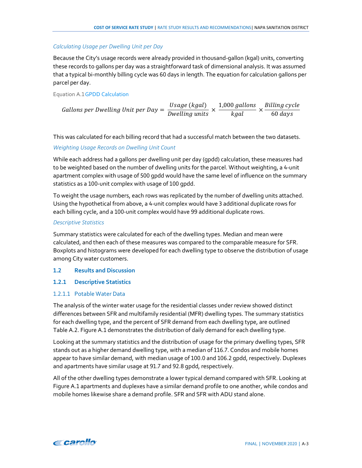#### *Calculating Usage per Dwelling Unit per Day*

Because the City's usage records were already provided in thousand-gallon (kgal) units, converting these records to gallons per day was a straightforward task of dimensional analysis. It was assumed that a typical bi-monthly billing cycle was 60 days in length. The equation for calculation gallons per parcel per day.

#### Equation A.1GPDD Calculation

Gallons per Dwelling Unit per Day = 
$$
\frac{Usage\ (kgal)}{Dwelling\ units} \times \frac{1,000\ gallons}{kgal} \times \frac{Billing\ cycle}{60\ days}
$$

This was calculated for each billing record that had a successful match between the two datasets.

#### *Weighting Usage Records on Dwelling Unit Count*

While each address had a gallons per dwelling unit per day (gpdd) calculation, these measures had to be weighted based on the number of dwelling units for the parcel. Without weighting, a 4-unit apartment complex with usage of 500 gpdd would have the same level of influence on the summary statistics as a 100-unit complex with usage of 100 gpdd.

To weight the usage numbers, each rows was replicated by the number of dwelling units attached. Using the hypothetical from above, a 4-unit complex would have 3 additional duplicate rows for each billing cycle, and a 100-unit complex would have 99 additional duplicate rows.

#### *Descriptive Statistics*

Summary statistics were calculated for each of the dwelling types. Median and mean were calculated, and then each of these measures was compared to the comparable measure for SFR. Boxplots and histograms were developed for each dwelling type to observe the distribution of usage among City water customers.

#### **1.2 Results and Discussion**

#### **1.2.1 Descriptive Statistics**

#### 1.2.1.1 Potable Water Data

The analysis of the winter water usage for the residential classes under review showed distinct differences between SFR and multifamily residential (MFR) dwelling types. The summary statistics for each dwelling type, and the percent of SFR demand from each dwelling type, are outlined Table A.2. Figure A.1 demonstrates the distribution of daily demand for each dwelling type.

Looking at the summary statistics and the distribution of usage for the primary dwelling types, SFR stands out as a higher demand dwelling type, with a median of 116.7. Condos and mobile homes appear to have similar demand, with median usage of 100.0 and 106.2 gpdd, respectively. Duplexes and apartments have similar usage at 91.7 and 92.8 gpdd, respectively.

All of the other dwelling types demonstrate a lower typical demand compared with SFR. Looking at Figure A.1 apartments and duplexes have a similar demand profile to one another, while condos and mobile homes likewise share a demand profile. SFR and SFR with ADU stand alone.

![](_page_46_Picture_17.jpeg)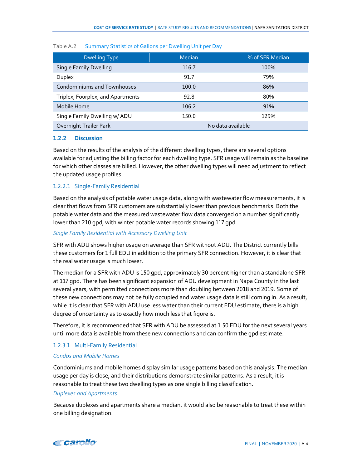| <b>Dwelling Type</b>               | <b>Median</b>     | % of SFR Median |  |
|------------------------------------|-------------------|-----------------|--|
| <b>Single Family Dwelling</b>      | 116.7             | 100%            |  |
| Duplex                             | 91.7              | 79%             |  |
| <b>Condominiums and Townhouses</b> | 100.0             | 86%             |  |
| Triplex, Fourplex, and Apartments  | 92.8              | 80%             |  |
| Mobile Home                        | 106.2             | 91%             |  |
| Single Family Dwelling w/ ADU      | 150.0             | 129%            |  |
| Overnight Trailer Park             | No data available |                 |  |

#### Table A.2 Summary Statistics of Gallons per Dwelling Unit per Day

#### **1.2.2 Discussion**

Based on the results of the analysis of the different dwelling types, there are several options available for adjusting the billing factor for each dwelling type. SFR usage will remain as the baseline for which other classes are billed. However, the other dwelling types will need adjustment to reflect the updated usage profiles.

#### 1.2.2.1 Single-Family Residential

Based on the analysis of potable water usage data, along with wastewater flow measurements, it is clear that flows from SFR customers are substantially lower than previous benchmarks. Both the potable water data and the measured wastewater flow data converged on a number significantly lower than 210 gpd, with winter potable water records showing 117 gpd.

#### *Single Family Residential with Accessory Dwelling Unit*

SFR with ADU shows higher usage on average than SFR without ADU. The District currently bills these customers for 1 full EDU in addition to the primary SFR connection. However, it is clear that the real water usage is much lower.

The median for a SFR with ADU is 150 gpd, approximately 30 percent higher than a standalone SFR at 117 gpd. There has been significant expansion of ADU development in Napa County in the last several years, with permitted connections more than doubling between 2018 and 2019. Some of these new connections may not be fully occupied and water usage data is still coming in. As a result, while it is clear that SFR with ADU use less water than their current EDU estimate, there is a high degree of uncertainty as to exactly how much less that figure is.

Therefore, it is recommended that SFR with ADU be assessed at 1.50 EDU for the next several years until more data is available from these new connections and can confirm the gpd estimate.

#### 1.2.3.1 Multi-Family Residential

#### *Condos and Mobile Homes*

Condominiums and mobile homes display similar usage patterns based on this analysis. The median usage per day is close, and their distributions demonstrate similar patterns. As a result, it is reasonable to treat these two dwelling types as one single billing classification.

#### *Duplexes and Apartments*

Because duplexes and apartments share a median, it would also be reasonable to treat these within one billing designation.

![](_page_47_Picture_16.jpeg)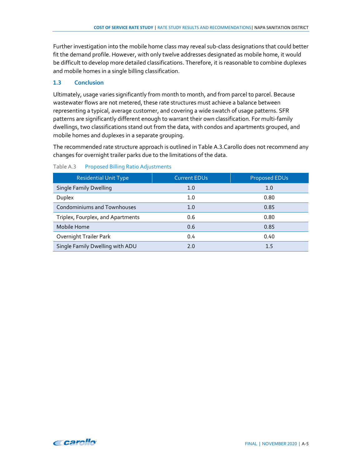Further investigation into the mobile home class may reveal sub-class designations that could better fit the demand profile. However, with only twelve addresses designated as mobile home, it would be difficult to develop more detailed classifications. Therefore, it is reasonable to combine duplexes and mobile homes in a single billing classification.

## **1.3 Conclusion**

Ultimately, usage varies significantly from month to month, and from parcel to parcel. Because wastewater flows are not metered, these rate structures must achieve a balance between representing a typical, average customer, and covering a wide swatch of usage patterns. SFR patterns are significantly different enough to warrant their own classification. For multi-family dwellings, two classifications stand out from the data, with condos and apartments grouped, and mobile homes and duplexes in a separate grouping.

The recommended rate structure approach is outlined in Table A.3.Carollo does not recommend any changes for overnight trailer parks due to the limitations of the data.

| <b>Residential Unit Type</b>       | <b>Current EDUs</b> | <b>Proposed EDUs</b> |
|------------------------------------|---------------------|----------------------|
| <b>Single Family Dwelling</b>      | 1.0                 | 1.0                  |
| Duplex                             | 1.0                 | 0.80                 |
| <b>Condominiums and Townhouses</b> | 1.0                 | 0.85                 |
| Triplex, Fourplex, and Apartments  | 0.6                 | 0.80                 |
| Mobile Home                        | 0.6                 | 0.85                 |
| Overnight Trailer Park             | 0.4                 | 0.40                 |
| Single Family Dwelling with ADU    | 2.0                 | 1.5                  |

#### Table A.3 Proposed Billing Ratio Adjustments

![](_page_48_Picture_7.jpeg)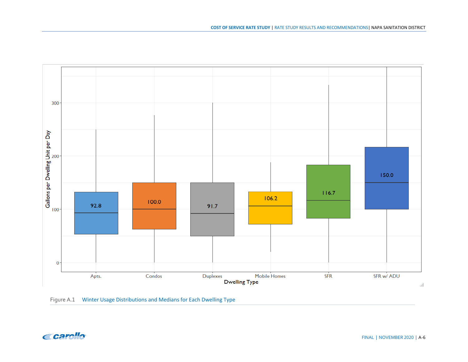![](_page_49_Figure_1.jpeg)

Figure A.1 Winter Usage Distributions and Medians for Each Dwelling Type

![](_page_49_Picture_3.jpeg)